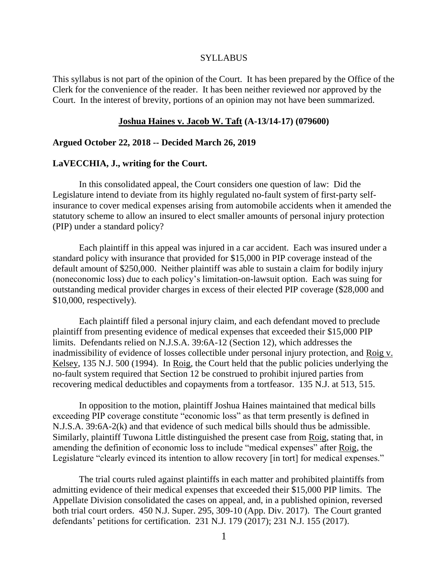#### SYLLABUS

This syllabus is not part of the opinion of the Court. It has been prepared by the Office of the Clerk for the convenience of the reader. It has been neither reviewed nor approved by the Court. In the interest of brevity, portions of an opinion may not have been summarized.

#### **Joshua Haines v. Jacob W. Taft (A-13/14-17) (079600)**

## **Argued October 22, 2018 -- Decided March 26, 2019**

#### **LaVECCHIA, J., writing for the Court.**

In this consolidated appeal, the Court considers one question of law: Did the Legislature intend to deviate from its highly regulated no-fault system of first-party selfinsurance to cover medical expenses arising from automobile accidents when it amended the statutory scheme to allow an insured to elect smaller amounts of personal injury protection (PIP) under a standard policy?

Each plaintiff in this appeal was injured in a car accident. Each was insured under a standard policy with insurance that provided for \$15,000 in PIP coverage instead of the default amount of \$250,000. Neither plaintiff was able to sustain a claim for bodily injury (noneconomic loss) due to each policy's limitation-on-lawsuit option. Each was suing for outstanding medical provider charges in excess of their elected PIP coverage (\$28,000 and \$10,000, respectively).

Each plaintiff filed a personal injury claim, and each defendant moved to preclude plaintiff from presenting evidence of medical expenses that exceeded their \$15,000 PIP limits. Defendants relied on N.J.S.A. 39:6A-12 (Section 12), which addresses the inadmissibility of evidence of losses collectible under personal injury protection, and Roig v. Kelsey, 135 N.J. 500 (1994). In Roig, the Court held that the public policies underlying the no-fault system required that Section 12 be construed to prohibit injured parties from recovering medical deductibles and copayments from a tortfeasor. 135 N.J. at 513, 515.

In opposition to the motion, plaintiff Joshua Haines maintained that medical bills exceeding PIP coverage constitute "economic loss" as that term presently is defined in N.J.S.A. 39:6A-2(k) and that evidence of such medical bills should thus be admissible. Similarly, plaintiff Tuwona Little distinguished the present case from Roig, stating that, in amending the definition of economic loss to include "medical expenses" after Roig, the Legislature "clearly evinced its intention to allow recovery [in tort] for medical expenses."

The trial courts ruled against plaintiffs in each matter and prohibited plaintiffs from admitting evidence of their medical expenses that exceeded their \$15,000 PIP limits. The Appellate Division consolidated the cases on appeal, and, in a published opinion, reversed both trial court orders. 450 N.J. Super. 295, 309-10 (App. Div. 2017). The Court granted defendants' petitions for certification. 231 N.J. 179 (2017); 231 N.J. 155 (2017).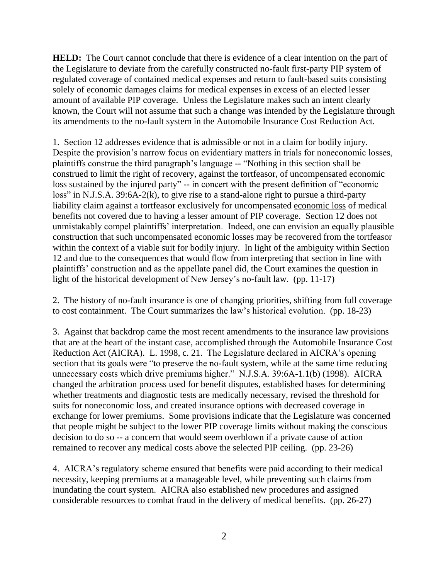**HELD:** The Court cannot conclude that there is evidence of a clear intention on the part of the Legislature to deviate from the carefully constructed no-fault first-party PIP system of regulated coverage of contained medical expenses and return to fault-based suits consisting solely of economic damages claims for medical expenses in excess of an elected lesser amount of available PIP coverage. Unless the Legislature makes such an intent clearly known, the Court will not assume that such a change was intended by the Legislature through its amendments to the no-fault system in the Automobile Insurance Cost Reduction Act.

1. Section 12 addresses evidence that is admissible or not in a claim for bodily injury. Despite the provision's narrow focus on evidentiary matters in trials for noneconomic losses, plaintiffs construe the third paragraph's language -- "Nothing in this section shall be construed to limit the right of recovery, against the tortfeasor, of uncompensated economic loss sustained by the injured party" -- in concert with the present definition of "economic loss" in N.J.S.A. 39:6A-2(k), to give rise to a stand-alone right to pursue a third-party liability claim against a tortfeasor exclusively for uncompensated economic loss of medical benefits not covered due to having a lesser amount of PIP coverage. Section 12 does not unmistakably compel plaintiffs' interpretation. Indeed, one can envision an equally plausible construction that such uncompensated economic losses may be recovered from the tortfeasor within the context of a viable suit for bodily injury. In light of the ambiguity within Section 12 and due to the consequences that would flow from interpreting that section in line with plaintiffs' construction and as the appellate panel did, the Court examines the question in light of the historical development of New Jersey's no-fault law. (pp. 11-17)

2. The history of no-fault insurance is one of changing priorities, shifting from full coverage to cost containment. The Court summarizes the law's historical evolution. (pp. 18-23)

3. Against that backdrop came the most recent amendments to the insurance law provisions that are at the heart of the instant case, accomplished through the Automobile Insurance Cost Reduction Act (AICRA). L. 1998, c. 21. The Legislature declared in AICRA's opening section that its goals were "to preserve the no-fault system, while at the same time reducing unnecessary costs which drive premiums higher." N.J.S.A. 39:6A-1.1(b) (1998). AICRA changed the arbitration process used for benefit disputes, established bases for determining whether treatments and diagnostic tests are medically necessary, revised the threshold for suits for noneconomic loss, and created insurance options with decreased coverage in exchange for lower premiums. Some provisions indicate that the Legislature was concerned that people might be subject to the lower PIP coverage limits without making the conscious decision to do so -- a concern that would seem overblown if a private cause of action remained to recover any medical costs above the selected PIP ceiling. (pp. 23-26)

4. AICRA's regulatory scheme ensured that benefits were paid according to their medical necessity, keeping premiums at a manageable level, while preventing such claims from inundating the court system. AICRA also established new procedures and assigned considerable resources to combat fraud in the delivery of medical benefits. (pp. 26-27)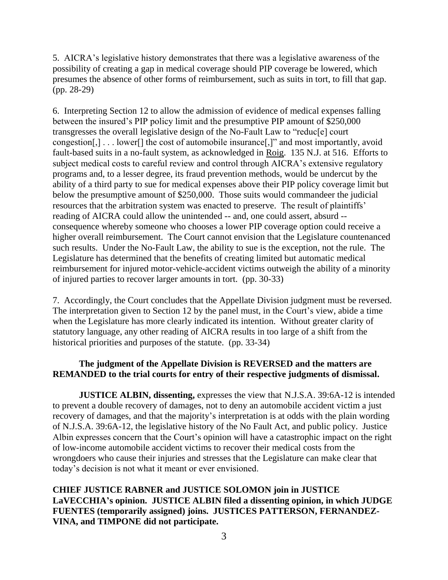5. AICRA's legislative history demonstrates that there was a legislative awareness of the possibility of creating a gap in medical coverage should PIP coverage be lowered, which presumes the absence of other forms of reimbursement, such as suits in tort, to fill that gap. (pp. 28-29)

6. Interpreting Section 12 to allow the admission of evidence of medical expenses falling between the insured's PIP policy limit and the presumptive PIP amount of \$250,000 transgresses the overall legislative design of the No-Fault Law to "reduc[e] court congestion[,] . . . lower[] the cost of automobile insurance[,]" and most importantly, avoid fault-based suits in a no-fault system, as acknowledged in Roig. 135 N.J. at 516. Efforts to subject medical costs to careful review and control through AICRA's extensive regulatory programs and, to a lesser degree, its fraud prevention methods, would be undercut by the ability of a third party to sue for medical expenses above their PIP policy coverage limit but below the presumptive amount of \$250,000. Those suits would commandeer the judicial resources that the arbitration system was enacted to preserve. The result of plaintiffs' reading of AICRA could allow the unintended -- and, one could assert, absurd - consequence whereby someone who chooses a lower PIP coverage option could receive a higher overall reimbursement. The Court cannot envision that the Legislature countenanced such results. Under the No-Fault Law, the ability to sue is the exception, not the rule. The Legislature has determined that the benefits of creating limited but automatic medical reimbursement for injured motor-vehicle-accident victims outweigh the ability of a minority of injured parties to recover larger amounts in tort. (pp. 30-33)

7. Accordingly, the Court concludes that the Appellate Division judgment must be reversed. The interpretation given to Section 12 by the panel must, in the Court's view, abide a time when the Legislature has more clearly indicated its intention. Without greater clarity of statutory language, any other reading of AICRA results in too large of a shift from the historical priorities and purposes of the statute. (pp. 33-34)

# **The judgment of the Appellate Division is REVERSED and the matters are REMANDED to the trial courts for entry of their respective judgments of dismissal.**

**JUSTICE ALBIN, dissenting,** expresses the view that N.J.S.A. 39:6A-12 is intended to prevent a double recovery of damages, not to deny an automobile accident victim a just recovery of damages, and that the majority's interpretation is at odds with the plain wording of N.J.S.A. 39:6A-12, the legislative history of the No Fault Act, and public policy. Justice Albin expresses concern that the Court's opinion will have a catastrophic impact on the right of low-income automobile accident victims to recover their medical costs from the wrongdoers who cause their injuries and stresses that the Legislature can make clear that today's decision is not what it meant or ever envisioned.

**CHIEF JUSTICE RABNER and JUSTICE SOLOMON join in JUSTICE LaVECCHIA's opinion. JUSTICE ALBIN filed a dissenting opinion, in which JUDGE FUENTES (temporarily assigned) joins. JUSTICES PATTERSON, FERNANDEZ-VINA, and TIMPONE did not participate.**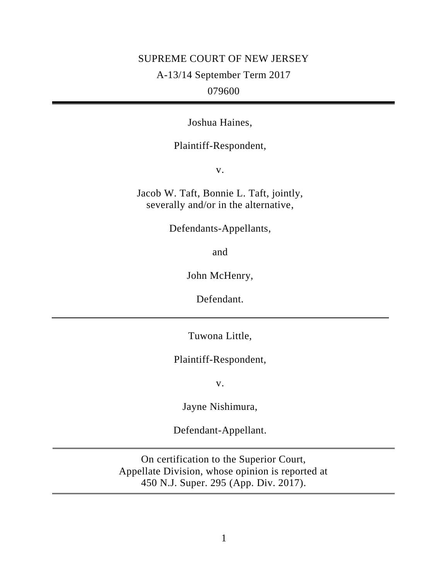# SUPREME COURT OF NEW JERSEY A-13/14 September Term 2017 079600

Joshua Haines,

# Plaintiff-Respondent,

v.

Jacob W. Taft, Bonnie L. Taft, jointly, severally and/or in the alternative,

Defendants-Appellants,

and

John McHenry,

Defendant.

Tuwona Little,

Plaintiff-Respondent,

v.

Jayne Nishimura,

Defendant-Appellant.

On certification to the Superior Court, Appellate Division, whose opinion is reported at 450 N.J. Super. 295 (App. Div. 2017).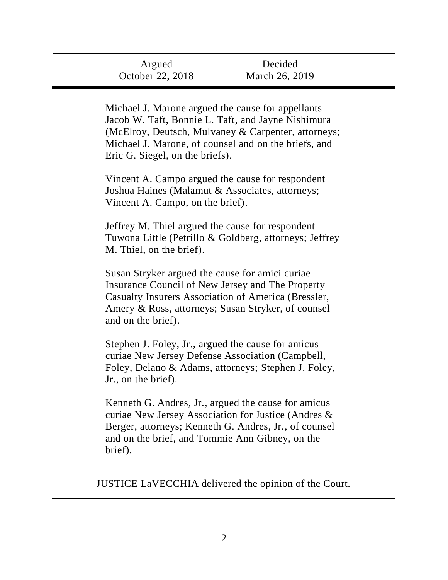| Argued           | Decided        |
|------------------|----------------|
| October 22, 2018 | March 26, 2019 |

Michael J. Marone argued the cause for appellants Jacob W. Taft, Bonnie L. Taft, and Jayne Nishimura (McElroy, Deutsch, Mulvaney & Carpenter, attorneys; Michael J. Marone, of counsel and on the briefs, and Eric G. Siegel, on the briefs).

Vincent A. Campo argued the cause for respondent Joshua Haines (Malamut & Associates, attorneys; Vincent A. Campo, on the brief).

Jeffrey M. Thiel argued the cause for respondent Tuwona Little (Petrillo & Goldberg, attorneys; Jeffrey M. Thiel, on the brief).

Susan Stryker argued the cause for amici curiae Insurance Council of New Jersey and The Property Casualty Insurers Association of America (Bressler, Amery & Ross, attorneys; Susan Stryker, of counsel and on the brief).

Stephen J. Foley, Jr., argued the cause for amicus curiae New Jersey Defense Association (Campbell, Foley, Delano & Adams, attorneys; Stephen J. Foley, Jr., on the brief).

Kenneth G. Andres, Jr., argued the cause for amicus curiae New Jersey Association for Justice (Andres & Berger, attorneys; Kenneth G. Andres, Jr., of counsel and on the brief, and Tommie Ann Gibney, on the brief).

JUSTICE LaVECCHIA delivered the opinion of the Court.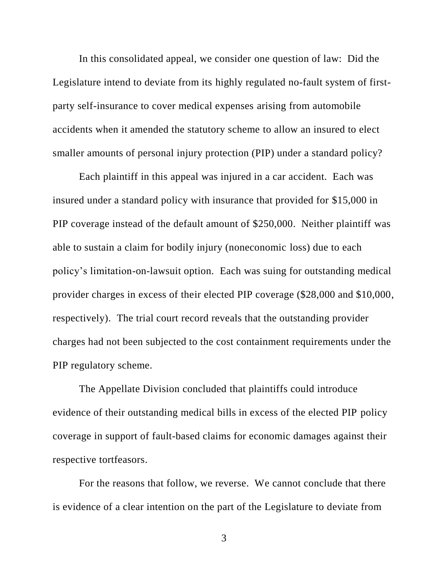In this consolidated appeal, we consider one question of law: Did the Legislature intend to deviate from its highly regulated no-fault system of firstparty self-insurance to cover medical expenses arising from automobile accidents when it amended the statutory scheme to allow an insured to elect smaller amounts of personal injury protection (PIP) under a standard policy?

Each plaintiff in this appeal was injured in a car accident. Each was insured under a standard policy with insurance that provided for \$15,000 in PIP coverage instead of the default amount of \$250,000. Neither plaintiff was able to sustain a claim for bodily injury (noneconomic loss) due to each policy's limitation-on-lawsuit option. Each was suing for outstanding medical provider charges in excess of their elected PIP coverage (\$28,000 and \$10,000, respectively). The trial court record reveals that the outstanding provider charges had not been subjected to the cost containment requirements under the PIP regulatory scheme.

The Appellate Division concluded that plaintiffs could introduce evidence of their outstanding medical bills in excess of the elected PIP policy coverage in support of fault-based claims for economic damages against their respective tortfeasors.

For the reasons that follow, we reverse. We cannot conclude that there is evidence of a clear intention on the part of the Legislature to deviate from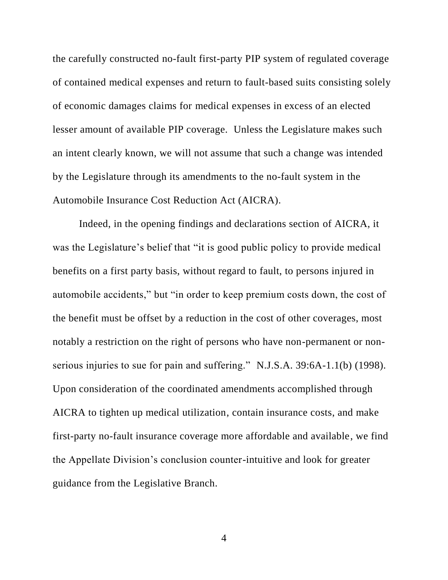the carefully constructed no-fault first-party PIP system of regulated coverage of contained medical expenses and return to fault-based suits consisting solely of economic damages claims for medical expenses in excess of an elected lesser amount of available PIP coverage. Unless the Legislature makes such an intent clearly known, we will not assume that such a change was intended by the Legislature through its amendments to the no-fault system in the Automobile Insurance Cost Reduction Act (AICRA).

Indeed, in the opening findings and declarations section of AICRA, it was the Legislature's belief that "it is good public policy to provide medical benefits on a first party basis, without regard to fault, to persons injured in automobile accidents," but "in order to keep premium costs down, the cost of the benefit must be offset by a reduction in the cost of other coverages, most notably a restriction on the right of persons who have non-permanent or nonserious injuries to sue for pain and suffering." N.J.S.A. 39:6A-1.1(b) (1998). Upon consideration of the coordinated amendments accomplished through AICRA to tighten up medical utilization, contain insurance costs, and make first-party no-fault insurance coverage more affordable and available, we find the Appellate Division's conclusion counter-intuitive and look for greater guidance from the Legislative Branch.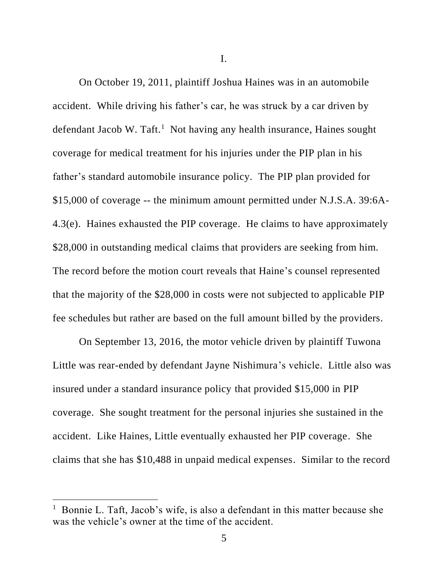I.

On October 19, 2011, plaintiff Joshua Haines was in an automobile accident. While driving his father's car, he was struck by a car driven by defendant Jacob W. Taft.<sup>1</sup> Not having any health insurance, Haines sought coverage for medical treatment for his injuries under the PIP plan in his father's standard automobile insurance policy. The PIP plan provided for \$15,000 of coverage -- the minimum amount permitted under N.J.S.A. 39:6A-4.3(e). Haines exhausted the PIP coverage. He claims to have approximately \$28,000 in outstanding medical claims that providers are seeking from him. The record before the motion court reveals that Haine's counsel represented that the majority of the \$28,000 in costs were not subjected to applicable PIP fee schedules but rather are based on the full amount billed by the providers.

On September 13, 2016, the motor vehicle driven by plaintiff Tuwona Little was rear-ended by defendant Jayne Nishimura's vehicle. Little also was insured under a standard insurance policy that provided \$15,000 in PIP coverage. She sought treatment for the personal injuries she sustained in the accident. Like Haines, Little eventually exhausted her PIP coverage. She claims that she has \$10,488 in unpaid medical expenses. Similar to the record

 $\overline{\phantom{a}}$ 

<sup>1</sup> Bonnie L. Taft, Jacob's wife, is also a defendant in this matter because she was the vehicle's owner at the time of the accident.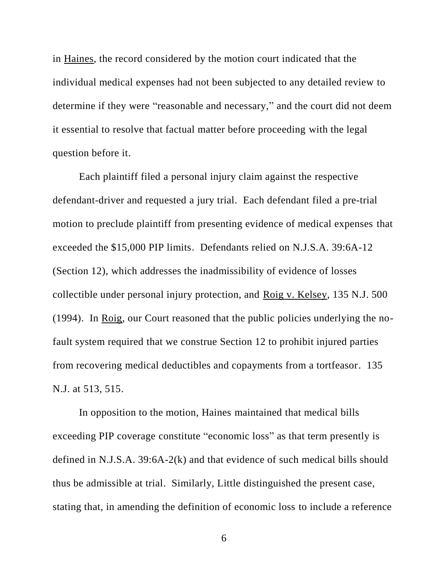in Haines, the record considered by the motion court indicated that the individual medical expenses had not been subjected to any detailed review to determine if they were "reasonable and necessary," and the court did not deem it essential to resolve that factual matter before proceeding with the legal question before it.

Each plaintiff filed a personal injury claim against the respective defendant-driver and requested a jury trial. Each defendant filed a pre-trial motion to preclude plaintiff from presenting evidence of medical expenses that exceeded the \$15,000 PIP limits. Defendants relied on N.J.S.A. 39:6A-12 (Section 12), which addresses the inadmissibility of evidence of losses collectible under personal injury protection, and Roig v. Kelsey, 135 N.J. 500 (1994). In Roig, our Court reasoned that the public policies underlying the nofault system required that we construe Section 12 to prohibit injured parties from recovering medical deductibles and copayments from a tortfeasor. 135 N.J. at 513, 515.

In opposition to the motion, Haines maintained that medical bills exceeding PIP coverage constitute "economic loss" as that term presently is defined in N.J.S.A. 39:6A-2(k) and that evidence of such medical bills should thus be admissible at trial. Similarly, Little distinguished the present case, stating that, in amending the definition of economic loss to include a reference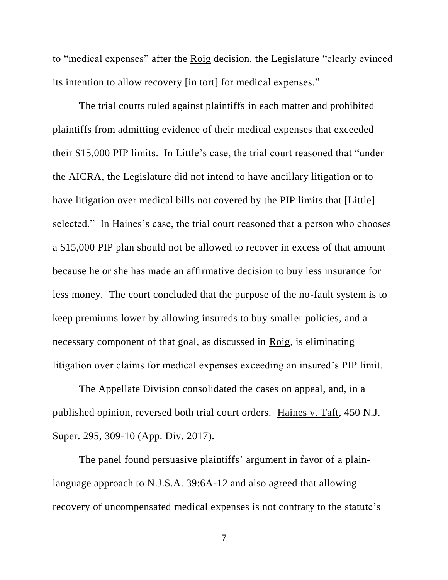to "medical expenses" after the Roig decision, the Legislature "clearly evinced its intention to allow recovery [in tort] for medical expenses."

The trial courts ruled against plaintiffs in each matter and prohibited plaintiffs from admitting evidence of their medical expenses that exceeded their \$15,000 PIP limits. In Little's case, the trial court reasoned that "under the AICRA, the Legislature did not intend to have ancillary litigation or to have litigation over medical bills not covered by the PIP limits that [Little] selected." In Haines's case, the trial court reasoned that a person who chooses a \$15,000 PIP plan should not be allowed to recover in excess of that amount because he or she has made an affirmative decision to buy less insurance for less money. The court concluded that the purpose of the no-fault system is to keep premiums lower by allowing insureds to buy smaller policies, and a necessary component of that goal, as discussed in Roig, is eliminating litigation over claims for medical expenses exceeding an insured's PIP limit.

The Appellate Division consolidated the cases on appeal, and, in a published opinion, reversed both trial court orders. Haines v. Taft, 450 N.J. Super. 295, 309-10 (App. Div. 2017).

The panel found persuasive plaintiffs' argument in favor of a plainlanguage approach to N.J.S.A. 39:6A-12 and also agreed that allowing recovery of uncompensated medical expenses is not contrary to the statute's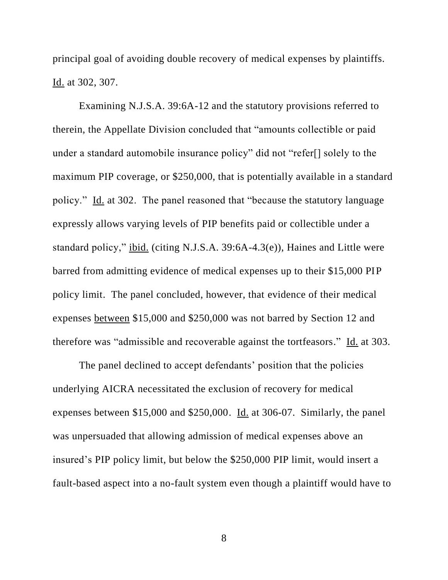principal goal of avoiding double recovery of medical expenses by plaintiffs. Id. at 302, 307.

Examining N.J.S.A. 39:6A-12 and the statutory provisions referred to therein, the Appellate Division concluded that "amounts collectible or paid under a standard automobile insurance policy" did not "refer[] solely to the maximum PIP coverage, or \$250,000, that is potentially available in a standard policy." Id. at 302. The panel reasoned that "because the statutory language expressly allows varying levels of PIP benefits paid or collectible under a standard policy," ibid. (citing N.J.S.A. 39:6A-4.3(e)), Haines and Little were barred from admitting evidence of medical expenses up to their \$15,000 PIP policy limit. The panel concluded, however, that evidence of their medical expenses between \$15,000 and \$250,000 was not barred by Section 12 and therefore was "admissible and recoverable against the tortfeasors." Id. at 303.

The panel declined to accept defendants' position that the policies underlying AICRA necessitated the exclusion of recovery for medical expenses between \$15,000 and \$250,000. Id. at 306-07. Similarly, the panel was unpersuaded that allowing admission of medical expenses above an insured's PIP policy limit, but below the \$250,000 PIP limit, would insert a fault-based aspect into a no-fault system even though a plaintiff would have to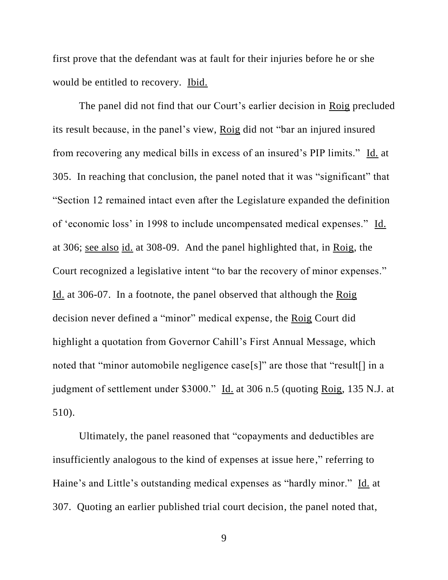first prove that the defendant was at fault for their injuries before he or she would be entitled to recovery. Ibid.

The panel did not find that our Court's earlier decision in Roig precluded its result because, in the panel's view, Roig did not "bar an injured insured from recovering any medical bills in excess of an insured's PIP limits." Id. at 305. In reaching that conclusion, the panel noted that it was "significant" that "Section 12 remained intact even after the Legislature expanded the definition of 'economic loss' in 1998 to include uncompensated medical expenses." Id. at 306; see also id. at 308-09. And the panel highlighted that, in Roig, the Court recognized a legislative intent "to bar the recovery of minor expenses." Id. at 306-07. In a footnote, the panel observed that although the Roig decision never defined a "minor" medical expense, the Roig Court did highlight a quotation from Governor Cahill's First Annual Message, which noted that "minor automobile negligence case[s]" are those that "result[] in a judgment of settlement under \$3000." Id. at 306 n.5 (quoting Roig, 135 N.J. at 510).

Ultimately, the panel reasoned that "copayments and deductibles are insufficiently analogous to the kind of expenses at issue here," referring to Haine's and Little's outstanding medical expenses as "hardly minor." Id. at 307. Quoting an earlier published trial court decision, the panel noted that,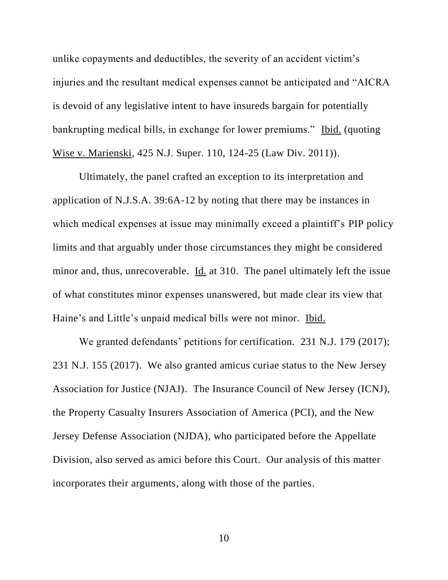unlike copayments and deductibles, the severity of an accident victim's injuries and the resultant medical expenses cannot be anticipated and "AICRA is devoid of any legislative intent to have insureds bargain for potentially bankrupting medical bills, in exchange for lower premiums." Ibid. (quoting Wise v. Marienski, 425 N.J. Super. 110, 124-25 (Law Div. 2011)).

Ultimately, the panel crafted an exception to its interpretation and application of N.J.S.A. 39:6A-12 by noting that there may be instances in which medical expenses at issue may minimally exceed a plaintiff's PIP policy limits and that arguably under those circumstances they might be considered minor and, thus, unrecoverable. Id. at 310. The panel ultimately left the issue of what constitutes minor expenses unanswered, but made clear its view that Haine's and Little's unpaid medical bills were not minor. Ibid.

We granted defendants' petitions for certification. 231 N.J. 179 (2017); 231 N.J. 155 (2017). We also granted amicus curiae status to the New Jersey Association for Justice (NJAJ). The Insurance Council of New Jersey (ICNJ), the Property Casualty Insurers Association of America (PCI), and the New Jersey Defense Association (NJDA), who participated before the Appellate Division, also served as amici before this Court. Our analysis of this matter incorporates their arguments, along with those of the parties.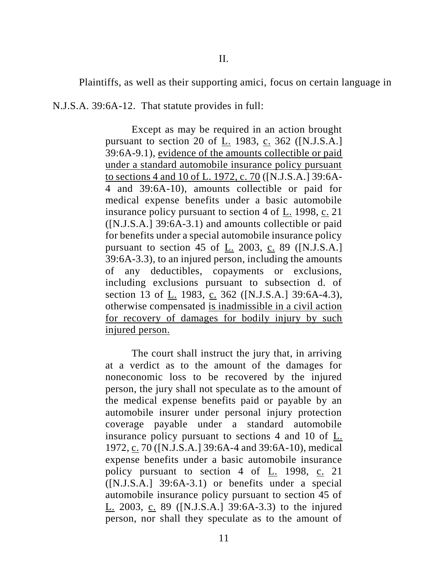Plaintiffs, as well as their supporting amici, focus on certain language in

N.J.S.A. 39:6A-12. That statute provides in full:

Except as may be required in an action brought pursuant to section 20 of L. 1983, c. 362 ([N.J.S.A.] 39:6A-9.1), evidence of the amounts collectible or paid under a standard automobile insurance policy pursuant to sections 4 and 10 of L. 1972, c. 70 ([N.J.S.A.] 39:6A-4 and 39:6A-10), amounts collectible or paid for medical expense benefits under a basic automobile insurance policy pursuant to section 4 of L. 1998, c. 21 ([N.J.S.A.] 39:6A-3.1) and amounts collectible or paid for benefits under a special automobile insurance policy pursuant to section 45 of L. 2003, c. 89 ([N.J.S.A.] 39:6A-3.3), to an injured person, including the amounts of any deductibles, copayments or exclusions, including exclusions pursuant to subsection d. of section 13 of L. 1983, c. 362 ([N.J.S.A.] 39:6A-4.3), otherwise compensated is inadmissible in a civil action for recovery of damages for bodily injury by such injured person.

The court shall instruct the jury that, in arriving at a verdict as to the amount of the damages for noneconomic loss to be recovered by the injured person, the jury shall not speculate as to the amount of the medical expense benefits paid or payable by an automobile insurer under personal injury protection coverage payable under a standard automobile insurance policy pursuant to sections 4 and 10 of L. 1972, c. 70 ([N.J.S.A.] 39:6A-4 and 39:6A-10), medical expense benefits under a basic automobile insurance policy pursuant to section 4 of L. 1998, c. 21 ([N.J.S.A.] 39:6A-3.1) or benefits under a special automobile insurance policy pursuant to section 45 of L. 2003, c. 89 ([N.J.S.A.] 39:6A-3.3) to the injured person, nor shall they speculate as to the amount of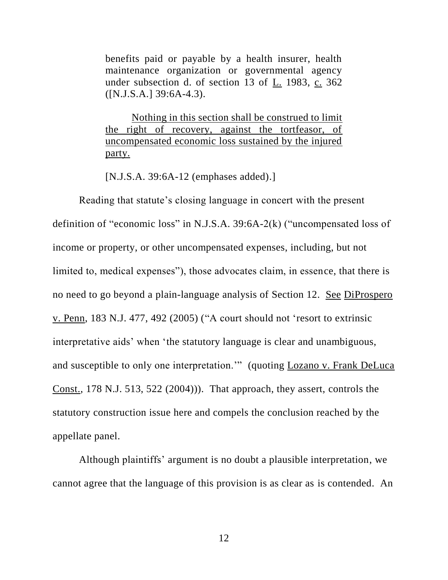benefits paid or payable by a health insurer, health maintenance organization or governmental agency under subsection d. of section 13 of L. 1983, c. 362 ([N.J.S.A.] 39:6A-4.3).

Nothing in this section shall be construed to limit the right of recovery, against the tortfeasor, of uncompensated economic loss sustained by the injured party.

[N.J.S.A. 39:6A-12 (emphases added).]

Reading that statute's closing language in concert with the present definition of "economic loss" in N.J.S.A. 39:6A-2(k) ("uncompensated loss of income or property, or other uncompensated expenses, including, but not limited to, medical expenses"), those advocates claim, in essence, that there is no need to go beyond a plain-language analysis of Section 12. See DiProspero v. Penn, 183 N.J. 477, 492 (2005) ("A court should not 'resort to extrinsic interpretative aids' when 'the statutory language is clear and unambiguous, and susceptible to only one interpretation."" (quoting Lozano v. Frank DeLuca Const., 178 N.J. 513, 522 (2004))). That approach, they assert, controls the statutory construction issue here and compels the conclusion reached by the appellate panel.

Although plaintiffs' argument is no doubt a plausible interpretation, we cannot agree that the language of this provision is as clear as is contended. An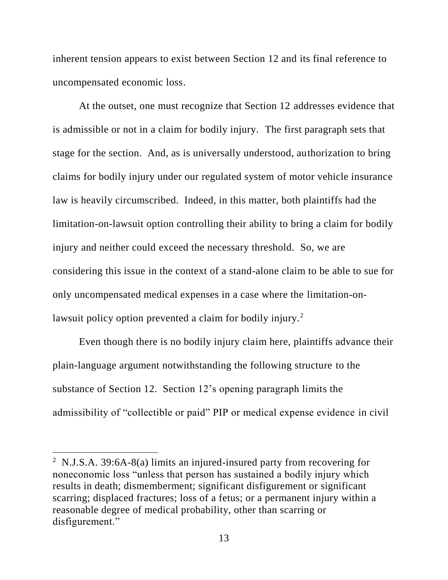inherent tension appears to exist between Section 12 and its final reference to uncompensated economic loss.

At the outset, one must recognize that Section 12 addresses evidence that is admissible or not in a claim for bodily injury. The first paragraph sets that stage for the section. And, as is universally understood, authorization to bring claims for bodily injury under our regulated system of motor vehicle insurance law is heavily circumscribed. Indeed, in this matter, both plaintiffs had the limitation-on-lawsuit option controlling their ability to bring a claim for bodily injury and neither could exceed the necessary threshold. So, we are considering this issue in the context of a stand-alone claim to be able to sue for only uncompensated medical expenses in a case where the limitation-onlawsuit policy option prevented a claim for bodily injury.<sup>2</sup>

Even though there is no bodily injury claim here, plaintiffs advance their plain-language argument notwithstanding the following structure to the substance of Section 12. Section 12's opening paragraph limits the admissibility of "collectible or paid" PIP or medical expense evidence in civil

 $\overline{a}$ 

<sup>&</sup>lt;sup>2</sup> N.J.S.A. 39:6A-8(a) limits an injured-insured party from recovering for noneconomic loss "unless that person has sustained a bodily injury which results in death; dismemberment; significant disfigurement or significant scarring; displaced fractures; loss of a fetus; or a permanent injury within a reasonable degree of medical probability, other than scarring or disfigurement."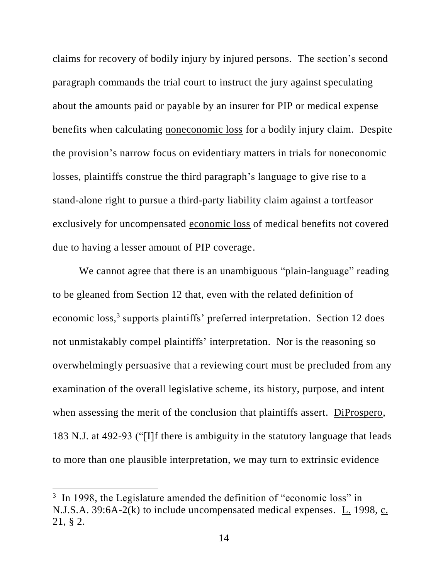claims for recovery of bodily injury by injured persons. The section's second paragraph commands the trial court to instruct the jury against speculating about the amounts paid or payable by an insurer for PIP or medical expense benefits when calculating noneconomic loss for a bodily injury claim. Despite the provision's narrow focus on evidentiary matters in trials for noneconomic losses, plaintiffs construe the third paragraph's language to give rise to a stand-alone right to pursue a third-party liability claim against a tortfeasor exclusively for uncompensated economic loss of medical benefits not covered due to having a lesser amount of PIP coverage.

We cannot agree that there is an unambiguous "plain-language" reading to be gleaned from Section 12 that, even with the related definition of economic loss,<sup>3</sup> supports plaintiffs' preferred interpretation. Section 12 does not unmistakably compel plaintiffs' interpretation. Nor is the reasoning so overwhelmingly persuasive that a reviewing court must be precluded from any examination of the overall legislative scheme, its history, purpose, and intent when assessing the merit of the conclusion that plaintiffs assert. DiProspero, 183 N.J. at 492-93 ("[I]f there is ambiguity in the statutory language that leads to more than one plausible interpretation, we may turn to extrinsic evidence

 $\overline{\phantom{a}}$ 

<sup>&</sup>lt;sup>3</sup> In 1998, the Legislature amended the definition of "economic loss" in N.J.S.A. 39:6A-2(k) to include uncompensated medical expenses. L. 1998, c. 21, § 2.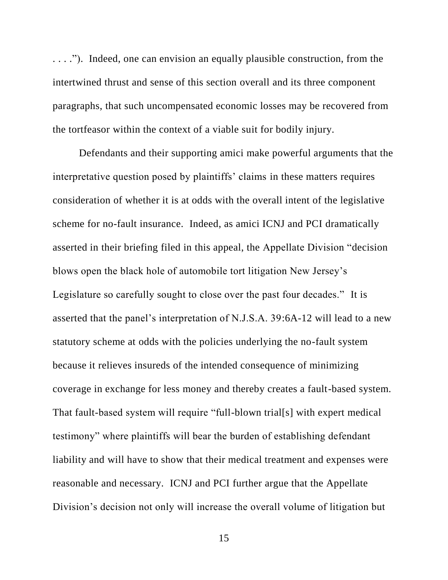. . . ."). Indeed, one can envision an equally plausible construction, from the intertwined thrust and sense of this section overall and its three component paragraphs, that such uncompensated economic losses may be recovered from the tortfeasor within the context of a viable suit for bodily injury.

Defendants and their supporting amici make powerful arguments that the interpretative question posed by plaintiffs' claims in these matters requires consideration of whether it is at odds with the overall intent of the legislative scheme for no-fault insurance. Indeed, as amici ICNJ and PCI dramatically asserted in their briefing filed in this appeal, the Appellate Division "decision blows open the black hole of automobile tort litigation New Jersey's Legislature so carefully sought to close over the past four decades." It is asserted that the panel's interpretation of N.J.S.A. 39:6A-12 will lead to a new statutory scheme at odds with the policies underlying the no-fault system because it relieves insureds of the intended consequence of minimizing coverage in exchange for less money and thereby creates a fault-based system. That fault-based system will require "full-blown trial[s] with expert medical testimony" where plaintiffs will bear the burden of establishing defendant liability and will have to show that their medical treatment and expenses were reasonable and necessary. ICNJ and PCI further argue that the Appellate Division's decision not only will increase the overall volume of litigation but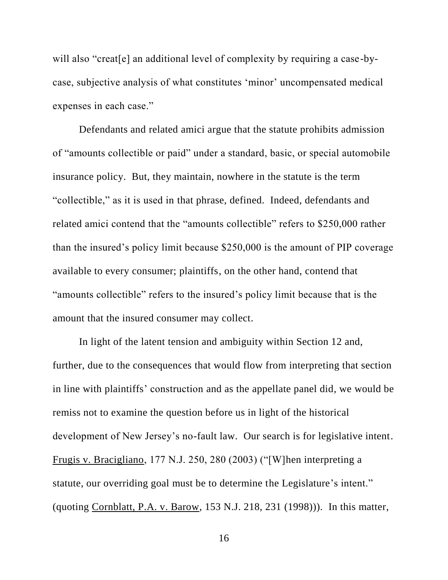will also "creat[e] an additional level of complexity by requiring a case-bycase, subjective analysis of what constitutes 'minor' uncompensated medical expenses in each case."

Defendants and related amici argue that the statute prohibits admission of "amounts collectible or paid" under a standard, basic, or special automobile insurance policy. But, they maintain, nowhere in the statute is the term "collectible," as it is used in that phrase, defined. Indeed, defendants and related amici contend that the "amounts collectible" refers to \$250,000 rather than the insured's policy limit because \$250,000 is the amount of PIP coverage available to every consumer; plaintiffs, on the other hand, contend that "amounts collectible" refers to the insured's policy limit because that is the amount that the insured consumer may collect.

In light of the latent tension and ambiguity within Section 12 and, further, due to the consequences that would flow from interpreting that section in line with plaintiffs' construction and as the appellate panel did, we would be remiss not to examine the question before us in light of the historical development of New Jersey's no-fault law. Our search is for legislative intent. Frugis v. Bracigliano, 177 N.J. 250, 280 (2003) ("[W]hen interpreting a statute, our overriding goal must be to determine the Legislature's intent." (quoting Cornblatt, P.A. v. Barow, 153 N.J. 218, 231 (1998))). In this matter,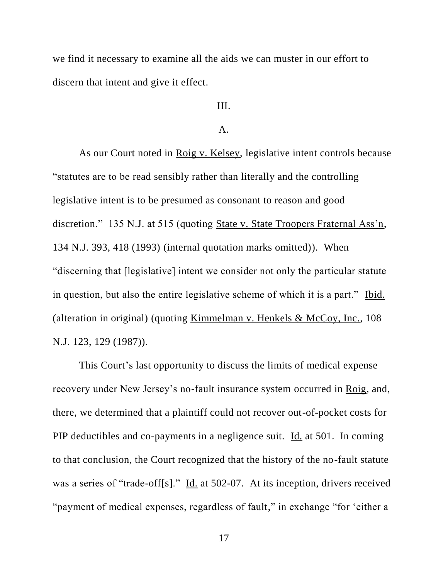we find it necessary to examine all the aids we can muster in our effort to discern that intent and give it effect.

# III.

## A.

As our Court noted in Roig v. Kelsey, legislative intent controls because "statutes are to be read sensibly rather than literally and the controlling legislative intent is to be presumed as consonant to reason and good discretion." 135 N.J. at 515 (quoting State v. State Troopers Fraternal Ass'n, 134 N.J. 393, 418 (1993) (internal quotation marks omitted)). When "discerning that [legislative] intent we consider not only the particular statute in question, but also the entire legislative scheme of which it is a part." Ibid. (alteration in original) (quoting Kimmelman v. Henkels & McCoy, Inc., 108 N.J. 123, 129 (1987)).

This Court's last opportunity to discuss the limits of medical expense recovery under New Jersey's no-fault insurance system occurred in Roig, and, there, we determined that a plaintiff could not recover out-of-pocket costs for PIP deductibles and co-payments in a negligence suit. Id. at 501. In coming to that conclusion, the Court recognized that the history of the no-fault statute was a series of "trade-off[s]." Id. at 502-07. At its inception, drivers received "payment of medical expenses, regardless of fault," in exchange "for 'either a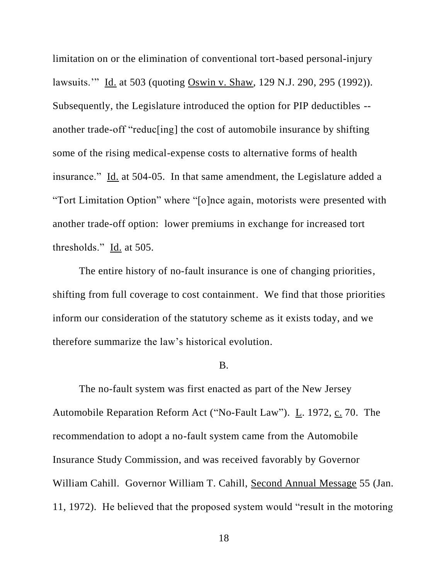limitation on or the elimination of conventional tort-based personal-injury lawsuits.'" Id. at 503 (quoting Oswin v. Shaw, 129 N.J. 290, 295 (1992)). Subsequently, the Legislature introduced the option for PIP deductibles - another trade-off "reduc[ing] the cost of automobile insurance by shifting some of the rising medical-expense costs to alternative forms of health insurance." Id. at 504-05. In that same amendment, the Legislature added a "Tort Limitation Option" where "[o]nce again, motorists were presented with another trade-off option: lower premiums in exchange for increased tort thresholds." Id. at 505.

The entire history of no-fault insurance is one of changing priorities, shifting from full coverage to cost containment. We find that those priorities inform our consideration of the statutory scheme as it exists today, and we therefore summarize the law's historical evolution.

#### B.

The no-fault system was first enacted as part of the New Jersey Automobile Reparation Reform Act ("No-Fault Law"). L. 1972, c. 70. The recommendation to adopt a no-fault system came from the Automobile Insurance Study Commission, and was received favorably by Governor William Cahill. Governor William T. Cahill, Second Annual Message 55 (Jan. 11, 1972). He believed that the proposed system would "result in the motoring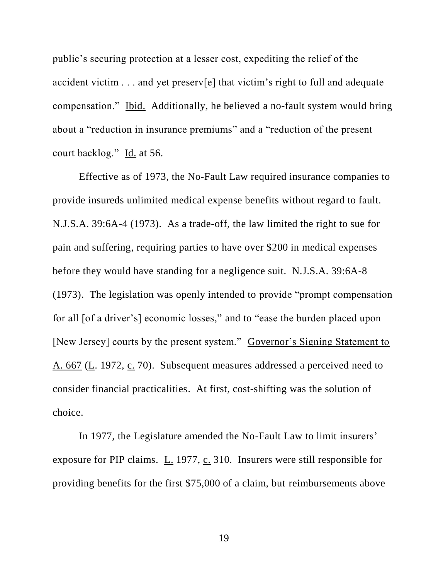public's securing protection at a lesser cost, expediting the relief of the accident victim . . . and yet preserv[e] that victim's right to full and adequate compensation." Ibid. Additionally, he believed a no-fault system would bring about a "reduction in insurance premiums" and a "reduction of the present court backlog." Id. at 56.

Effective as of 1973, the No-Fault Law required insurance companies to provide insureds unlimited medical expense benefits without regard to fault. N.J.S.A. 39:6A-4 (1973). As a trade-off, the law limited the right to sue for pain and suffering, requiring parties to have over \$200 in medical expenses before they would have standing for a negligence suit. N.J.S.A. 39:6A-8 (1973). The legislation was openly intended to provide "prompt compensation for all [of a driver's] economic losses," and to "ease the burden placed upon [New Jersey] courts by the present system." Governor's Signing Statement to A. 667 (L. 1972, c. 70). Subsequent measures addressed a perceived need to consider financial practicalities. At first, cost-shifting was the solution of choice.

In 1977, the Legislature amended the No-Fault Law to limit insurers' exposure for PIP claims. L. 1977, c. 310. Insurers were still responsible for providing benefits for the first \$75,000 of a claim, but reimbursements above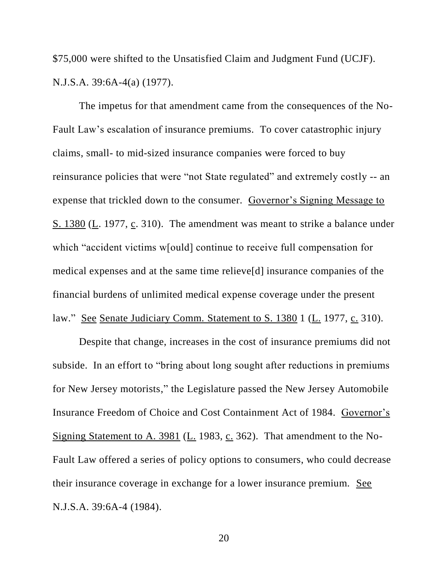\$75,000 were shifted to the Unsatisfied Claim and Judgment Fund (UCJF). N.J.S.A. 39:6A-4(a) (1977).

The impetus for that amendment came from the consequences of the No-Fault Law's escalation of insurance premiums. To cover catastrophic injury claims, small- to mid-sized insurance companies were forced to buy reinsurance policies that were "not State regulated" and extremely costly -- an expense that trickled down to the consumer. Governor's Signing Message to S. 1380 (L. 1977, c. 310). The amendment was meant to strike a balance under which "accident victims w[ould] continue to receive full compensation for medical expenses and at the same time relieve[d] insurance companies of the financial burdens of unlimited medical expense coverage under the present law." See Senate Judiciary Comm. Statement to S. 1380 1 (L. 1977, c. 310).

Despite that change, increases in the cost of insurance premiums did not subside. In an effort to "bring about long sought after reductions in premiums for New Jersey motorists," the Legislature passed the New Jersey Automobile Insurance Freedom of Choice and Cost Containment Act of 1984. Governor's Signing Statement to A. 3981 (L. 1983, c. 362). That amendment to the No-Fault Law offered a series of policy options to consumers, who could decrease their insurance coverage in exchange for a lower insurance premium. See N.J.S.A. 39:6A-4 (1984).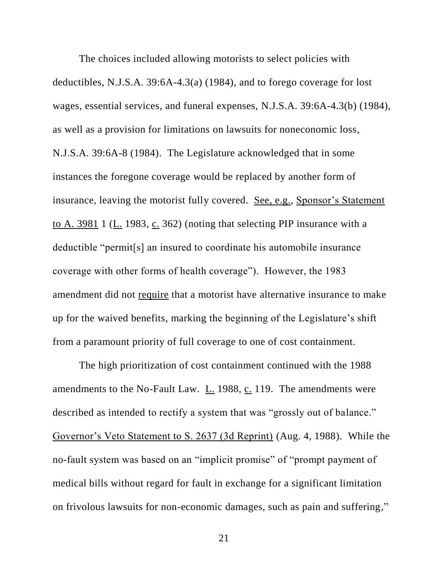The choices included allowing motorists to select policies with deductibles, N.J.S.A. 39:6A-4.3(a) (1984), and to forego coverage for lost wages, essential services, and funeral expenses, N.J.S.A. 39:6A-4.3(b) (1984), as well as a provision for limitations on lawsuits for noneconomic loss, N.J.S.A. 39:6A-8 (1984). The Legislature acknowledged that in some instances the foregone coverage would be replaced by another form of insurance, leaving the motorist fully covered. See, e.g., Sponsor's Statement to A.  $3981$  1 (L. 1983, c. 362) (noting that selecting PIP insurance with a deductible "permit[s] an insured to coordinate his automobile insurance coverage with other forms of health coverage"). However, the 1983 amendment did not require that a motorist have alternative insurance to make up for the waived benefits, marking the beginning of the Legislature's shift from a paramount priority of full coverage to one of cost containment.

The high prioritization of cost containment continued with the 1988 amendments to the No-Fault Law. L. 1988, c. 119. The amendments were described as intended to rectify a system that was "grossly out of balance." Governor's Veto Statement to S. 2637 (3d Reprint) (Aug. 4, 1988). While the no-fault system was based on an "implicit promise" of "prompt payment of medical bills without regard for fault in exchange for a significant limitation on frivolous lawsuits for non-economic damages, such as pain and suffering,"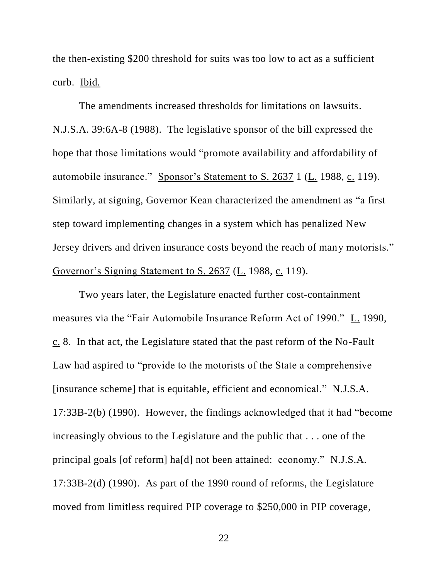the then-existing \$200 threshold for suits was too low to act as a sufficient curb. Ibid.

The amendments increased thresholds for limitations on lawsuits. N.J.S.A. 39:6A-8 (1988). The legislative sponsor of the bill expressed the hope that those limitations would "promote availability and affordability of automobile insurance." Sponsor's Statement to S. 2637 1 (L. 1988, c. 119). Similarly, at signing, Governor Kean characterized the amendment as "a first step toward implementing changes in a system which has penalized New Jersey drivers and driven insurance costs beyond the reach of many motorists." Governor's Signing Statement to S. 2637 (L. 1988, c. 119).

Two years later, the Legislature enacted further cost-containment measures via the "Fair Automobile Insurance Reform Act of 1990." L. 1990, c. 8. In that act, the Legislature stated that the past reform of the No-Fault Law had aspired to "provide to the motorists of the State a comprehensive [insurance scheme] that is equitable, efficient and economical." N.J.S.A. 17:33B-2(b) (1990). However, the findings acknowledged that it had "become increasingly obvious to the Legislature and the public that . . . one of the principal goals [of reform] ha[d] not been attained: economy." N.J.S.A. 17:33B-2(d) (1990). As part of the 1990 round of reforms, the Legislature moved from limitless required PIP coverage to \$250,000 in PIP coverage,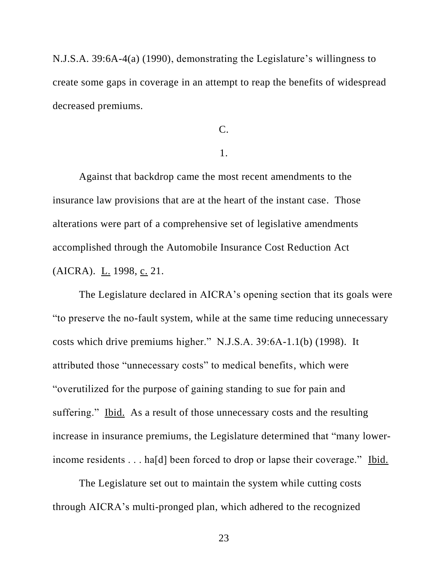N.J.S.A. 39:6A-4(a) (1990), demonstrating the Legislature's willingness to create some gaps in coverage in an attempt to reap the benefits of widespread decreased premiums.

C.

## 1.

Against that backdrop came the most recent amendments to the insurance law provisions that are at the heart of the instant case. Those alterations were part of a comprehensive set of legislative amendments accomplished through the Automobile Insurance Cost Reduction Act (AICRA). L. 1998, c. 21.

The Legislature declared in AICRA's opening section that its goals were "to preserve the no-fault system, while at the same time reducing unnecessary costs which drive premiums higher." N.J.S.A. 39:6A-1.1(b) (1998). It attributed those "unnecessary costs" to medical benefits, which were "overutilized for the purpose of gaining standing to sue for pain and suffering." Ibid. As a result of those unnecessary costs and the resulting increase in insurance premiums, the Legislature determined that "many lowerincome residents . . . ha[d] been forced to drop or lapse their coverage." Ibid.

The Legislature set out to maintain the system while cutting costs through AICRA's multi-pronged plan, which adhered to the recognized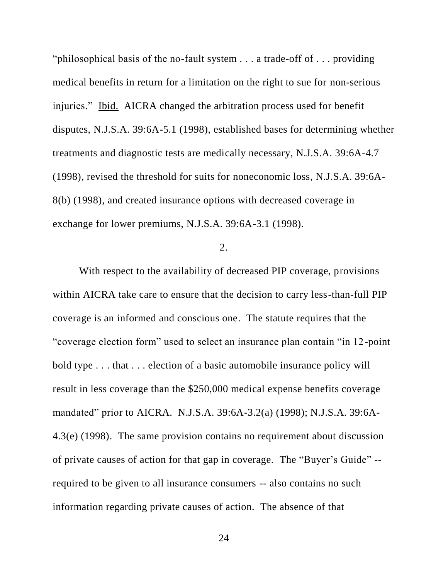"philosophical basis of the no-fault system . . . a trade-off of . . . providing medical benefits in return for a limitation on the right to sue for non-serious injuries." Ibid. AICRA changed the arbitration process used for benefit disputes, N.J.S.A. 39:6A-5.1 (1998), established bases for determining whether treatments and diagnostic tests are medically necessary, N.J.S.A. 39:6A-4.7 (1998), revised the threshold for suits for noneconomic loss, N.J.S.A. 39:6A-8(b) (1998), and created insurance options with decreased coverage in exchange for lower premiums, N.J.S.A. 39:6A-3.1 (1998).

## $2^{2}$

With respect to the availability of decreased PIP coverage, provisions within AICRA take care to ensure that the decision to carry less-than-full PIP coverage is an informed and conscious one. The statute requires that the "coverage election form" used to select an insurance plan contain "in 12-point bold type . . . that . . . election of a basic automobile insurance policy will result in less coverage than the \$250,000 medical expense benefits coverage mandated" prior to AICRA. N.J.S.A. 39:6A-3.2(a) (1998); N.J.S.A. 39:6A-4.3(e) (1998). The same provision contains no requirement about discussion of private causes of action for that gap in coverage. The "Buyer's Guide" - required to be given to all insurance consumers -- also contains no such information regarding private causes of action. The absence of that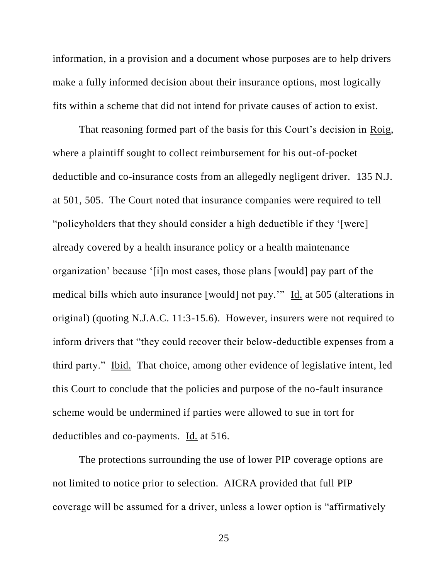information, in a provision and a document whose purposes are to help drivers make a fully informed decision about their insurance options, most logically fits within a scheme that did not intend for private causes of action to exist.

That reasoning formed part of the basis for this Court's decision in Roig, where a plaintiff sought to collect reimbursement for his out-of-pocket deductible and co-insurance costs from an allegedly negligent driver. 135 N.J. at 501, 505. The Court noted that insurance companies were required to tell "policyholders that they should consider a high deductible if they '[were] already covered by a health insurance policy or a health maintenance organization' because '[i]n most cases, those plans [would] pay part of the medical bills which auto insurance [would] not pay.'" Id. at 505 (alterations in original) (quoting N.J.A.C. 11:3-15.6). However, insurers were not required to inform drivers that "they could recover their below-deductible expenses from a third party." Ibid. That choice, among other evidence of legislative intent, led this Court to conclude that the policies and purpose of the no-fault insurance scheme would be undermined if parties were allowed to sue in tort for deductibles and co-payments. Id. at 516.

The protections surrounding the use of lower PIP coverage options are not limited to notice prior to selection. AICRA provided that full PIP coverage will be assumed for a driver, unless a lower option is "affirmatively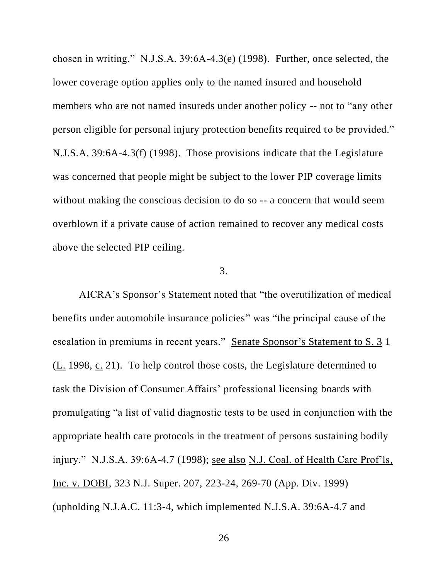chosen in writing." N.J.S.A. 39:6A-4.3(e) (1998). Further, once selected, the lower coverage option applies only to the named insured and household members who are not named insureds under another policy -- not to "any other person eligible for personal injury protection benefits required to be provided." N.J.S.A. 39:6A-4.3(f) (1998). Those provisions indicate that the Legislature was concerned that people might be subject to the lower PIP coverage limits without making the conscious decision to do so -- a concern that would seem overblown if a private cause of action remained to recover any medical costs above the selected PIP ceiling.

## 3.

AICRA's Sponsor's Statement noted that "the overutilization of medical benefits under automobile insurance policies" was "the principal cause of the escalation in premiums in recent years." Senate Sponsor's Statement to S. 3 1 (L. 1998, c. 21). To help control those costs, the Legislature determined to task the Division of Consumer Affairs' professional licensing boards with promulgating "a list of valid diagnostic tests to be used in conjunction with the appropriate health care protocols in the treatment of persons sustaining bodily injury." N.J.S.A. 39:6A-4.7 (1998); see also N.J. Coal. of Health Care Prof'ls, Inc. v. DOBI, 323 N.J. Super. 207, 223-24, 269-70 (App. Div. 1999) (upholding N.J.A.C. 11:3-4, which implemented N.J.S.A. 39:6A-4.7 and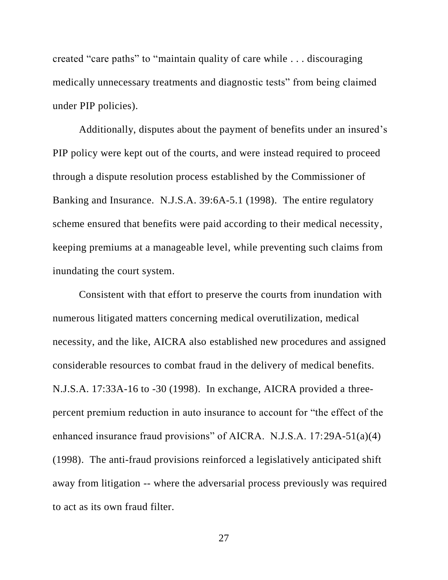created "care paths" to "maintain quality of care while . . . discouraging medically unnecessary treatments and diagnostic tests" from being claimed under PIP policies).

Additionally, disputes about the payment of benefits under an insured's PIP policy were kept out of the courts, and were instead required to proceed through a dispute resolution process established by the Commissioner of Banking and Insurance. N.J.S.A. 39:6A-5.1 (1998). The entire regulatory scheme ensured that benefits were paid according to their medical necessity, keeping premiums at a manageable level, while preventing such claims from inundating the court system.

Consistent with that effort to preserve the courts from inundation with numerous litigated matters concerning medical overutilization, medical necessity, and the like, AICRA also established new procedures and assigned considerable resources to combat fraud in the delivery of medical benefits. N.J.S.A. 17:33A-16 to -30 (1998). In exchange, AICRA provided a threepercent premium reduction in auto insurance to account for "the effect of the enhanced insurance fraud provisions" of AICRA. N.J.S.A. 17:29A-51(a)(4) (1998). The anti-fraud provisions reinforced a legislatively anticipated shift away from litigation -- where the adversarial process previously was required to act as its own fraud filter.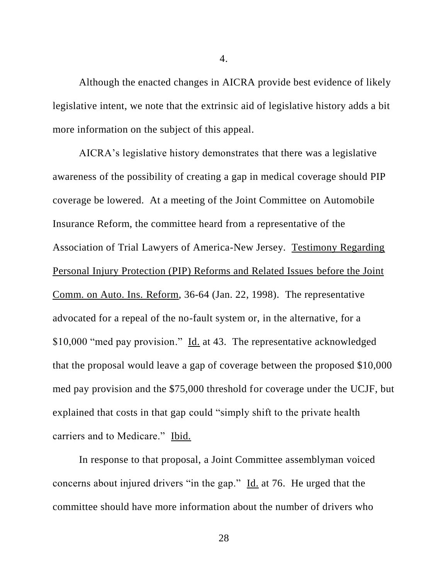Although the enacted changes in AICRA provide best evidence of likely legislative intent, we note that the extrinsic aid of legislative history adds a bit more information on the subject of this appeal.

AICRA's legislative history demonstrates that there was a legislative awareness of the possibility of creating a gap in medical coverage should PIP coverage be lowered. At a meeting of the Joint Committee on Automobile Insurance Reform, the committee heard from a representative of the Association of Trial Lawyers of America-New Jersey. Testimony Regarding Personal Injury Protection (PIP) Reforms and Related Issues before the Joint Comm. on Auto. Ins. Reform, 36-64 (Jan. 22, 1998). The representative advocated for a repeal of the no-fault system or, in the alternative, for a \$10,000 "med pay provision." Id. at 43. The representative acknowledged that the proposal would leave a gap of coverage between the proposed \$10,000 med pay provision and the \$75,000 threshold for coverage under the UCJF, but explained that costs in that gap could "simply shift to the private health carriers and to Medicare." Ibid.

In response to that proposal, a Joint Committee assemblyman voiced concerns about injured drivers "in the gap." Id. at 76. He urged that the committee should have more information about the number of drivers who

4.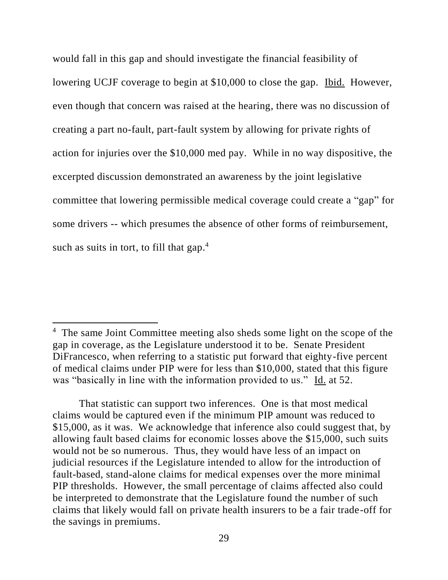would fall in this gap and should investigate the financial feasibility of lowering UCJF coverage to begin at \$10,000 to close the gap. Ibid. However, even though that concern was raised at the hearing, there was no discussion of creating a part no-fault, part-fault system by allowing for private rights of action for injuries over the \$10,000 med pay. While in no way dispositive, the excerpted discussion demonstrated an awareness by the joint legislative committee that lowering permissible medical coverage could create a "gap" for some drivers -- which presumes the absence of other forms of reimbursement, such as suits in tort, to fill that gap.<sup>4</sup>

 $\overline{\phantom{a}}$ 

<sup>&</sup>lt;sup>4</sup> The same Joint Committee meeting also sheds some light on the scope of the gap in coverage, as the Legislature understood it to be. Senate President DiFrancesco, when referring to a statistic put forward that eighty-five percent of medical claims under PIP were for less than \$10,000, stated that this figure was "basically in line with the information provided to us." Id. at 52.

That statistic can support two inferences. One is that most medical claims would be captured even if the minimum PIP amount was reduced to \$15,000, as it was. We acknowledge that inference also could suggest that, by allowing fault based claims for economic losses above the \$15,000, such suits would not be so numerous. Thus, they would have less of an impact on judicial resources if the Legislature intended to allow for the introduction of fault-based, stand-alone claims for medical expenses over the more minimal PIP thresholds. However, the small percentage of claims affected also could be interpreted to demonstrate that the Legislature found the number of such claims that likely would fall on private health insurers to be a fair trade-off for the savings in premiums.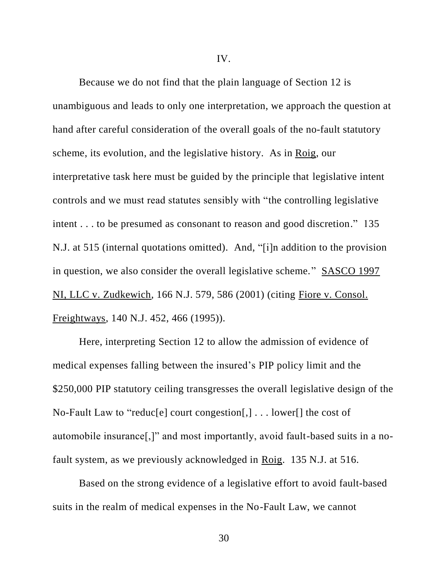IV.

Because we do not find that the plain language of Section 12 is unambiguous and leads to only one interpretation, we approach the question at hand after careful consideration of the overall goals of the no-fault statutory scheme, its evolution, and the legislative history. As in Roig, our interpretative task here must be guided by the principle that legislative intent controls and we must read statutes sensibly with "the controlling legislative intent . . . to be presumed as consonant to reason and good discretion." 135 N.J. at 515 (internal quotations omitted). And, "[i]n addition to the provision in question, we also consider the overall legislative scheme." SASCO 1997 NI, LLC v. Zudkewich, 166 N.J. 579, 586 (2001) (citing Fiore v. Consol. Freightways, 140 N.J. 452, 466 (1995)).

Here, interpreting Section 12 to allow the admission of evidence of medical expenses falling between the insured's PIP policy limit and the \$250,000 PIP statutory ceiling transgresses the overall legislative design of the No-Fault Law to "reduc[e] court congestion[,] . . . lower[] the cost of automobile insurance[,]" and most importantly, avoid fault-based suits in a nofault system, as we previously acknowledged in Roig. 135 N.J. at 516.

Based on the strong evidence of a legislative effort to avoid fault-based suits in the realm of medical expenses in the No-Fault Law, we cannot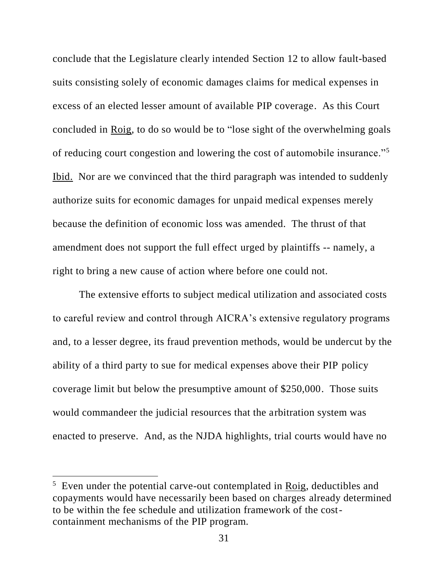conclude that the Legislature clearly intended Section 12 to allow fault-based suits consisting solely of economic damages claims for medical expenses in excess of an elected lesser amount of available PIP coverage. As this Court concluded in Roig, to do so would be to "lose sight of the overwhelming goals of reducing court congestion and lowering the cost of automobile insurance."<sup>5</sup> Ibid. Nor are we convinced that the third paragraph was intended to suddenly authorize suits for economic damages for unpaid medical expenses merely because the definition of economic loss was amended. The thrust of that amendment does not support the full effect urged by plaintiffs -- namely, a right to bring a new cause of action where before one could not.

The extensive efforts to subject medical utilization and associated costs to careful review and control through AICRA's extensive regulatory programs and, to a lesser degree, its fraud prevention methods, would be undercut by the ability of a third party to sue for medical expenses above their PIP policy coverage limit but below the presumptive amount of \$250,000. Those suits would commandeer the judicial resources that the arbitration system was enacted to preserve. And, as the NJDA highlights, trial courts would have no

 $\overline{\phantom{a}}$ 

 $5$  Even under the potential carve-out contemplated in Roig, deductibles and copayments would have necessarily been based on charges already determined to be within the fee schedule and utilization framework of the costcontainment mechanisms of the PIP program.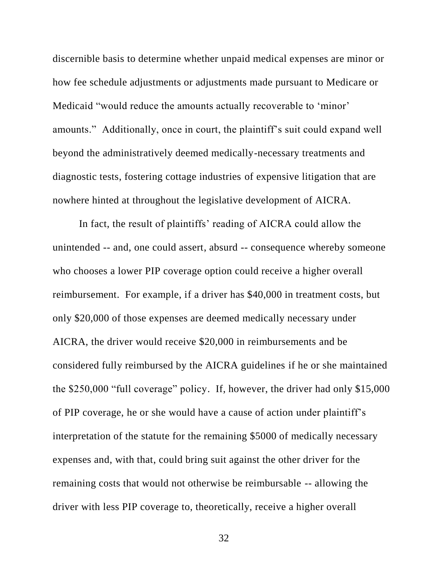discernible basis to determine whether unpaid medical expenses are minor or how fee schedule adjustments or adjustments made pursuant to Medicare or Medicaid "would reduce the amounts actually recoverable to 'minor' amounts." Additionally, once in court, the plaintiff's suit could expand well beyond the administratively deemed medically-necessary treatments and diagnostic tests, fostering cottage industries of expensive litigation that are nowhere hinted at throughout the legislative development of AICRA.

In fact, the result of plaintiffs' reading of AICRA could allow the unintended -- and, one could assert, absurd -- consequence whereby someone who chooses a lower PIP coverage option could receive a higher overall reimbursement. For example, if a driver has \$40,000 in treatment costs, but only \$20,000 of those expenses are deemed medically necessary under AICRA, the driver would receive \$20,000 in reimbursements and be considered fully reimbursed by the AICRA guidelines if he or she maintained the \$250,000 "full coverage" policy. If, however, the driver had only \$15,000 of PIP coverage, he or she would have a cause of action under plaintiff's interpretation of the statute for the remaining \$5000 of medically necessary expenses and, with that, could bring suit against the other driver for the remaining costs that would not otherwise be reimbursable -- allowing the driver with less PIP coverage to, theoretically, receive a higher overall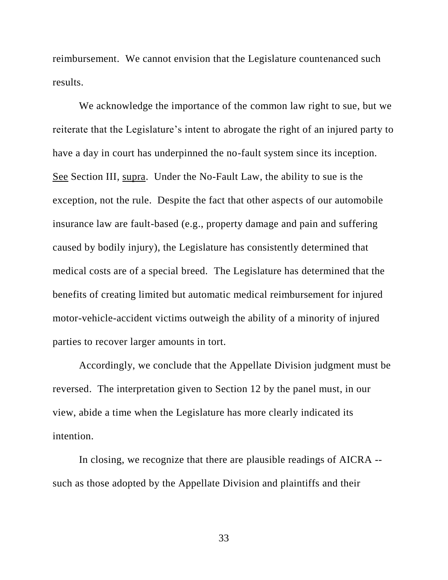reimbursement. We cannot envision that the Legislature countenanced such results.

We acknowledge the importance of the common law right to sue, but we reiterate that the Legislature's intent to abrogate the right of an injured party to have a day in court has underpinned the no-fault system since its inception. See Section III, supra. Under the No-Fault Law, the ability to sue is the exception, not the rule. Despite the fact that other aspects of our automobile insurance law are fault-based (e.g., property damage and pain and suffering caused by bodily injury), the Legislature has consistently determined that medical costs are of a special breed. The Legislature has determined that the benefits of creating limited but automatic medical reimbursement for injured motor-vehicle-accident victims outweigh the ability of a minority of injured parties to recover larger amounts in tort.

Accordingly, we conclude that the Appellate Division judgment must be reversed. The interpretation given to Section 12 by the panel must, in our view, abide a time when the Legislature has more clearly indicated its intention.

In closing, we recognize that there are plausible readings of AICRA - such as those adopted by the Appellate Division and plaintiffs and their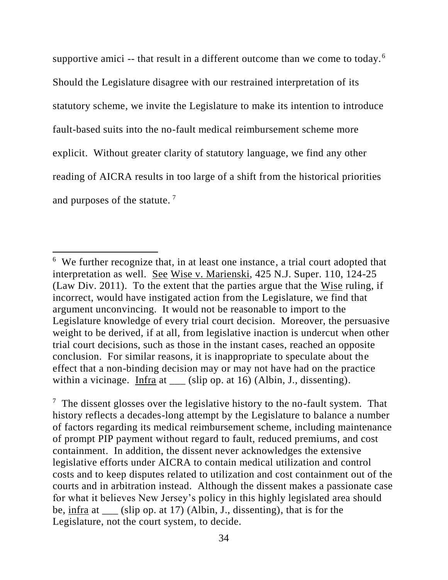supportive amici -- that result in a different outcome than we come to today.<sup>6</sup> Should the Legislature disagree with our restrained interpretation of its statutory scheme, we invite the Legislature to make its intention to introduce fault-based suits into the no-fault medical reimbursement scheme more explicit. Without greater clarity of statutory language, we find any other reading of AICRA results in too large of a shift from the historical priorities and purposes of the statute. <sup>7</sup>

 $\overline{\phantom{a}}$ 

 $7$  The dissent glosses over the legislative history to the no-fault system. That history reflects a decades-long attempt by the Legislature to balance a number of factors regarding its medical reimbursement scheme, including maintenance of prompt PIP payment without regard to fault, reduced premiums, and cost containment. In addition, the dissent never acknowledges the extensive legislative efforts under AICRA to contain medical utilization and control costs and to keep disputes related to utilization and cost containment out of the courts and in arbitration instead. Although the dissent makes a passionate case for what it believes New Jersey's policy in this highly legislated area should be, infra at \_\_\_ (slip op. at 17) (Albin, J., dissenting), that is for the Legislature, not the court system, to decide.

<sup>&</sup>lt;sup>6</sup> We further recognize that, in at least one instance, a trial court adopted that interpretation as well. See Wise v. Marienski, 425 N.J. Super. 110, 124-25 (Law Div. 2011). To the extent that the parties argue that the Wise ruling, if incorrect, would have instigated action from the Legislature, we find that argument unconvincing. It would not be reasonable to import to the Legislature knowledge of every trial court decision. Moreover, the persuasive weight to be derived, if at all, from legislative inaction is undercut when other trial court decisions, such as those in the instant cases, reached an opposite conclusion. For similar reasons, it is inappropriate to speculate about the effect that a non-binding decision may or may not have had on the practice within a vicinage. Infra at \_\_\_ (slip op. at 16) (Albin, J., dissenting).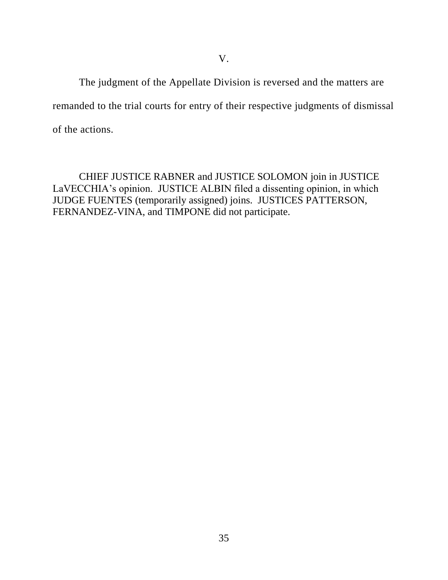The judgment of the Appellate Division is reversed and the matters are remanded to the trial courts for entry of their respective judgments of dismissal of the actions.

CHIEF JUSTICE RABNER and JUSTICE SOLOMON join in JUSTICE LaVECCHIA's opinion. JUSTICE ALBIN filed a dissenting opinion, in which JUDGE FUENTES (temporarily assigned) joins. JUSTICES PATTERSON, FERNANDEZ-VINA, and TIMPONE did not participate.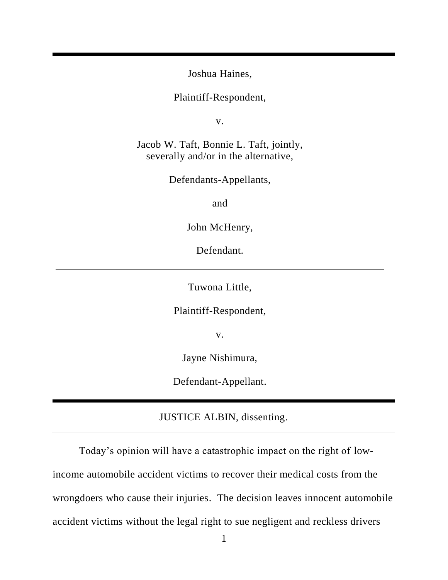Joshua Haines,

Plaintiff-Respondent,

v.

Jacob W. Taft, Bonnie L. Taft, jointly, severally and/or in the alternative,

Defendants-Appellants,

and

John McHenry,

Defendant.

Tuwona Little,

Plaintiff-Respondent,

v.

Jayne Nishimura,

Defendant-Appellant.

JUSTICE ALBIN, dissenting.

Today's opinion will have a catastrophic impact on the right of lowincome automobile accident victims to recover their medical costs from the wrongdoers who cause their injuries. The decision leaves innocent automobile accident victims without the legal right to sue negligent and reckless drivers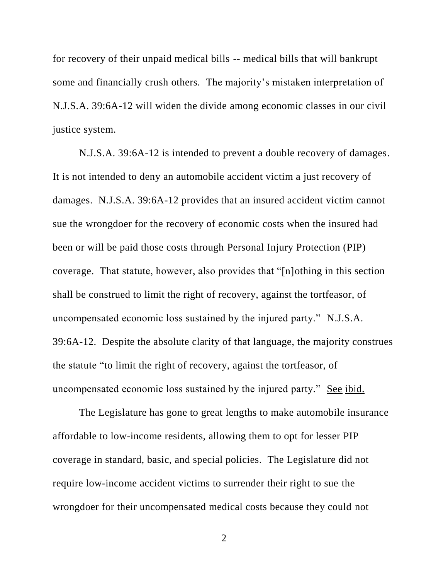for recovery of their unpaid medical bills -- medical bills that will bankrupt some and financially crush others. The majority's mistaken interpretation of N.J.S.A. 39:6A-12 will widen the divide among economic classes in our civil justice system.

N.J.S.A. 39:6A-12 is intended to prevent a double recovery of damages. It is not intended to deny an automobile accident victim a just recovery of damages. N.J.S.A. 39:6A-12 provides that an insured accident victim cannot sue the wrongdoer for the recovery of economic costs when the insured had been or will be paid those costs through Personal Injury Protection (PIP) coverage. That statute, however, also provides that "[n]othing in this section shall be construed to limit the right of recovery, against the tortfeasor, of uncompensated economic loss sustained by the injured party." N.J.S.A. 39:6A-12. Despite the absolute clarity of that language, the majority construes the statute "to limit the right of recovery, against the tortfeasor, of uncompensated economic loss sustained by the injured party." See ibid.

The Legislature has gone to great lengths to make automobile insurance affordable to low-income residents, allowing them to opt for lesser PIP coverage in standard, basic, and special policies. The Legislature did not require low-income accident victims to surrender their right to sue the wrongdoer for their uncompensated medical costs because they could not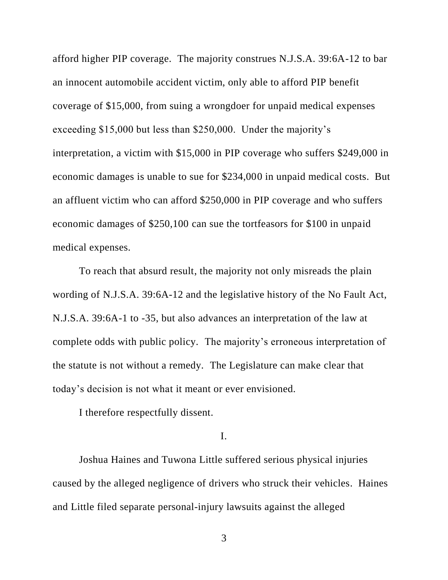afford higher PIP coverage. The majority construes N.J.S.A. 39:6A-12 to bar an innocent automobile accident victim, only able to afford PIP benefit coverage of \$15,000, from suing a wrongdoer for unpaid medical expenses exceeding \$15,000 but less than \$250,000. Under the majority's interpretation, a victim with \$15,000 in PIP coverage who suffers \$249,000 in economic damages is unable to sue for \$234,000 in unpaid medical costs. But an affluent victim who can afford \$250,000 in PIP coverage and who suffers economic damages of \$250,100 can sue the tortfeasors for \$100 in unpaid medical expenses.

To reach that absurd result, the majority not only misreads the plain wording of N.J.S.A. 39:6A-12 and the legislative history of the No Fault Act, N.J.S.A. 39:6A-1 to -35, but also advances an interpretation of the law at complete odds with public policy. The majority's erroneous interpretation of the statute is not without a remedy. The Legislature can make clear that today's decision is not what it meant or ever envisioned.

I therefore respectfully dissent.

## I.

Joshua Haines and Tuwona Little suffered serious physical injuries caused by the alleged negligence of drivers who struck their vehicles. Haines and Little filed separate personal-injury lawsuits against the alleged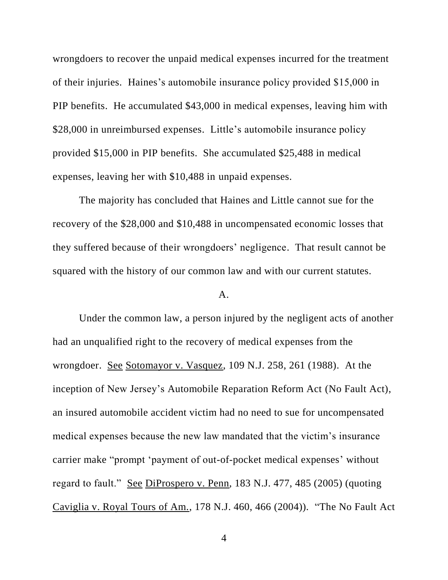wrongdoers to recover the unpaid medical expenses incurred for the treatment of their injuries. Haines's automobile insurance policy provided \$15,000 in PIP benefits. He accumulated \$43,000 in medical expenses, leaving him with \$28,000 in unreimbursed expenses. Little's automobile insurance policy provided \$15,000 in PIP benefits. She accumulated \$25,488 in medical expenses, leaving her with \$10,488 in unpaid expenses.

The majority has concluded that Haines and Little cannot sue for the recovery of the \$28,000 and \$10,488 in uncompensated economic losses that they suffered because of their wrongdoers' negligence. That result cannot be squared with the history of our common law and with our current statutes.

### A.

Under the common law, a person injured by the negligent acts of another had an unqualified right to the recovery of medical expenses from the wrongdoer. See Sotomayor v. Vasquez, 109 N.J. 258, 261 (1988). At the inception of New Jersey's Automobile Reparation Reform Act (No Fault Act), an insured automobile accident victim had no need to sue for uncompensated medical expenses because the new law mandated that the victim's insurance carrier make "prompt 'payment of out-of-pocket medical expenses' without regard to fault." See DiProspero v. Penn, 183 N.J. 477, 485 (2005) (quoting Caviglia v. Royal Tours of Am., 178 N.J. 460, 466 (2004)). "The No Fault Act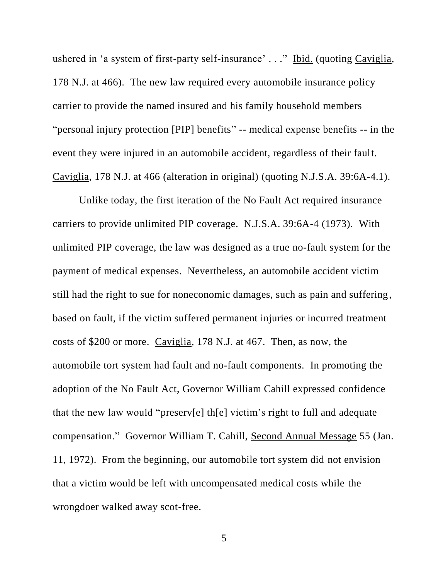ushered in 'a system of first-party self-insurance' . . ." Ibid. (quoting Caviglia, 178 N.J. at 466). The new law required every automobile insurance policy carrier to provide the named insured and his family household members "personal injury protection [PIP] benefits" -- medical expense benefits -- in the event they were injured in an automobile accident, regardless of their fault. Caviglia, 178 N.J. at 466 (alteration in original) (quoting N.J.S.A. 39:6A-4.1).

Unlike today, the first iteration of the No Fault Act required insurance carriers to provide unlimited PIP coverage. N.J.S.A. 39:6A-4 (1973). With unlimited PIP coverage, the law was designed as a true no-fault system for the payment of medical expenses. Nevertheless, an automobile accident victim still had the right to sue for noneconomic damages, such as pain and suffering, based on fault, if the victim suffered permanent injuries or incurred treatment costs of \$200 or more. Caviglia, 178 N.J. at 467. Then, as now, the automobile tort system had fault and no-fault components. In promoting the adoption of the No Fault Act, Governor William Cahill expressed confidence that the new law would "preserv[e] th[e] victim's right to full and adequate compensation." Governor William T. Cahill, Second Annual Message 55 (Jan. 11, 1972). From the beginning, our automobile tort system did not envision that a victim would be left with uncompensated medical costs while the wrongdoer walked away scot-free.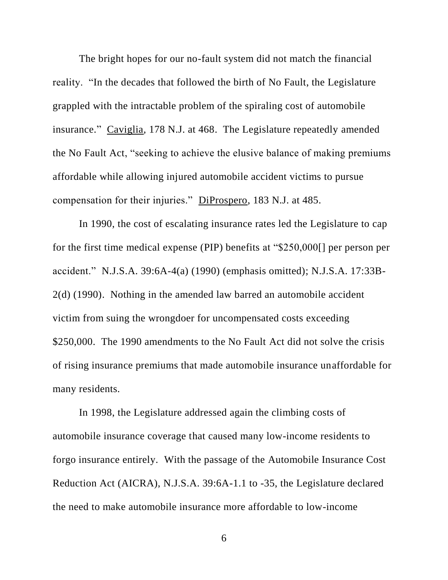The bright hopes for our no-fault system did not match the financial reality. "In the decades that followed the birth of No Fault, the Legislature grappled with the intractable problem of the spiraling cost of automobile insurance." Caviglia, 178 N.J. at 468. The Legislature repeatedly amended the No Fault Act, "seeking to achieve the elusive balance of making premiums affordable while allowing injured automobile accident victims to pursue compensation for their injuries." DiProspero, 183 N.J. at 485.

In 1990, the cost of escalating insurance rates led the Legislature to cap for the first time medical expense (PIP) benefits at "\$250,000[] per person per accident." N.J.S.A. 39:6A-4(a) (1990) (emphasis omitted); N.J.S.A. 17:33B-2(d) (1990). Nothing in the amended law barred an automobile accident victim from suing the wrongdoer for uncompensated costs exceeding \$250,000. The 1990 amendments to the No Fault Act did not solve the crisis of rising insurance premiums that made automobile insurance unaffordable for many residents.

In 1998, the Legislature addressed again the climbing costs of automobile insurance coverage that caused many low-income residents to forgo insurance entirely. With the passage of the Automobile Insurance Cost Reduction Act (AICRA), N.J.S.A. 39:6A-1.1 to -35, the Legislature declared the need to make automobile insurance more affordable to low-income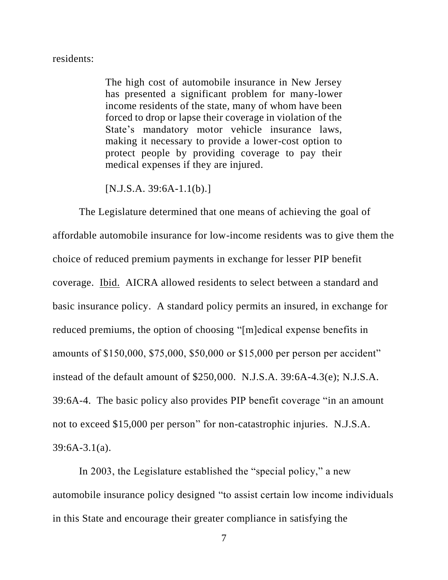## residents:

The high cost of automobile insurance in New Jersey has presented a significant problem for many-lower income residents of the state, many of whom have been forced to drop or lapse their coverage in violation of the State's mandatory motor vehicle insurance laws, making it necessary to provide a lower-cost option to protect people by providing coverage to pay their medical expenses if they are injured.

 $[N.J.S.A. 39:6A-1.1(b).]$ 

The Legislature determined that one means of achieving the goal of affordable automobile insurance for low-income residents was to give them the choice of reduced premium payments in exchange for lesser PIP benefit coverage. Ibid. AICRA allowed residents to select between a standard and basic insurance policy. A standard policy permits an insured, in exchange for reduced premiums, the option of choosing "[m]edical expense benefits in amounts of \$150,000, \$75,000, \$50,000 or \$15,000 per person per accident" instead of the default amount of \$250,000. N.J.S.A. 39:6A-4.3(e); N.J.S.A. 39:6A-4. The basic policy also provides PIP benefit coverage "in an amount not to exceed \$15,000 per person" for non-catastrophic injuries. N.J.S.A. 39:6A-3.1(a).

In 2003, the Legislature established the "special policy," a new automobile insurance policy designed "to assist certain low income individuals in this State and encourage their greater compliance in satisfying the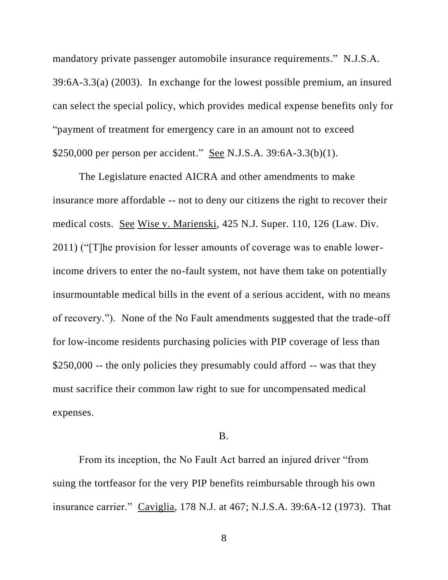mandatory private passenger automobile insurance requirements." N.J.S.A. 39:6A-3.3(a) (2003). In exchange for the lowest possible premium, an insured can select the special policy, which provides medical expense benefits only for "payment of treatment for emergency care in an amount not to exceed \$250,000 per person per accident." <u>See</u> N.J.S.A. 39:6A-3.3(b)(1).

The Legislature enacted AICRA and other amendments to make insurance more affordable -- not to deny our citizens the right to recover their medical costs. See Wise v. Marienski, 425 N.J. Super. 110, 126 (Law. Div. 2011) ("[T]he provision for lesser amounts of coverage was to enable lowerincome drivers to enter the no-fault system, not have them take on potentially insurmountable medical bills in the event of a serious accident, with no means of recovery."). None of the No Fault amendments suggested that the trade-off for low-income residents purchasing policies with PIP coverage of less than \$250,000 -- the only policies they presumably could afford -- was that they must sacrifice their common law right to sue for uncompensated medical expenses.

## B.

From its inception, the No Fault Act barred an injured driver "from suing the tortfeasor for the very PIP benefits reimbursable through his own insurance carrier." Caviglia, 178 N.J. at 467; N.J.S.A. 39:6A-12 (1973). That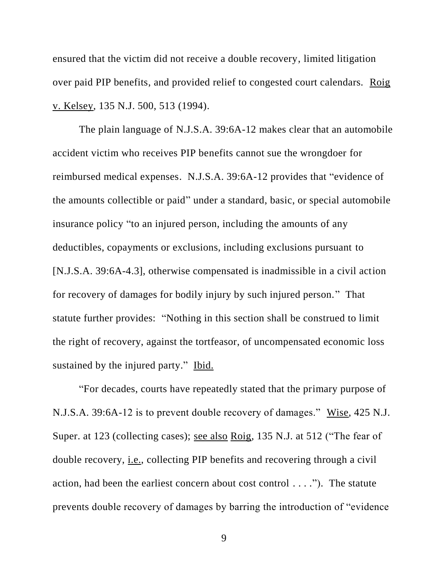ensured that the victim did not receive a double recovery, limited litigation over paid PIP benefits, and provided relief to congested court calendars. Roig v. Kelsey, 135 N.J. 500, 513 (1994).

The plain language of N.J.S.A. 39:6A-12 makes clear that an automobile accident victim who receives PIP benefits cannot sue the wrongdoer for reimbursed medical expenses. N.J.S.A. 39:6A-12 provides that "evidence of the amounts collectible or paid" under a standard, basic, or special automobile insurance policy "to an injured person, including the amounts of any deductibles, copayments or exclusions, including exclusions pursuant to [N.J.S.A. 39:6A-4.3], otherwise compensated is inadmissible in a civil action for recovery of damages for bodily injury by such injured person." That statute further provides: "Nothing in this section shall be construed to limit the right of recovery, against the tortfeasor, of uncompensated economic loss sustained by the injured party." Ibid.

"For decades, courts have repeatedly stated that the primary purpose of N.J.S.A. 39:6A-12 is to prevent double recovery of damages." Wise, 425 N.J. Super. at 123 (collecting cases); see also Roig, 135 N.J. at 512 ("The fear of double recovery, i.e., collecting PIP benefits and recovering through a civil action, had been the earliest concern about cost control . . . ."). The statute prevents double recovery of damages by barring the introduction of "evidence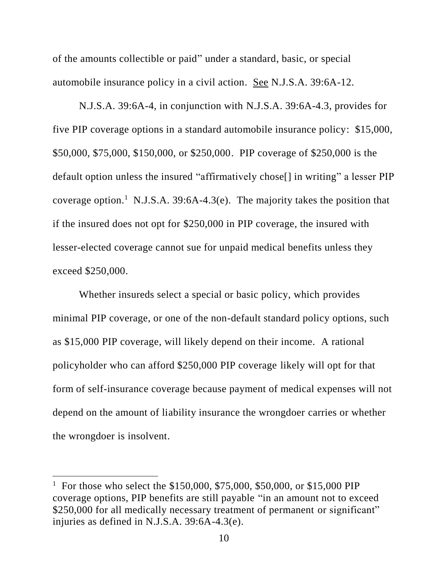of the amounts collectible or paid" under a standard, basic, or special automobile insurance policy in a civil action. See N.J.S.A. 39:6A-12.

N.J.S.A. 39:6A-4, in conjunction with N.J.S.A. 39:6A-4.3, provides for five PIP coverage options in a standard automobile insurance policy: \$15,000, \$50,000, \$75,000, \$150,000, or \$250,000. PIP coverage of \$250,000 is the default option unless the insured "affirmatively chose[] in writing" a lesser PIP coverage option.<sup>1</sup> N.J.S.A. 39:6A-4.3(e). The majority takes the position that if the insured does not opt for \$250,000 in PIP coverage, the insured with lesser-elected coverage cannot sue for unpaid medical benefits unless they exceed \$250,000.

Whether insureds select a special or basic policy, which provides minimal PIP coverage, or one of the non-default standard policy options, such as \$15,000 PIP coverage, will likely depend on their income. A rational policyholder who can afford \$250,000 PIP coverage likely will opt for that form of self-insurance coverage because payment of medical expenses will not depend on the amount of liability insurance the wrongdoer carries or whether the wrongdoer is insolvent.

 $\overline{\phantom{a}}$ 

<sup>&</sup>lt;sup>1</sup> For those who select the \$150,000, \$75,000, \$50,000, or \$15,000 PIP coverage options, PIP benefits are still payable "in an amount not to exceed \$250,000 for all medically necessary treatment of permanent or significant" injuries as defined in N.J.S.A. 39:6A-4.3(e).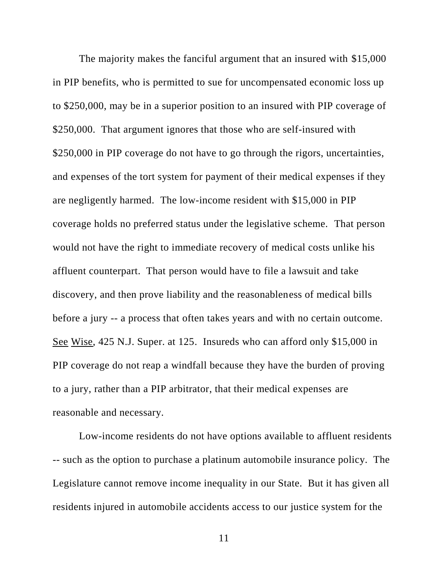The majority makes the fanciful argument that an insured with \$15,000 in PIP benefits, who is permitted to sue for uncompensated economic loss up to \$250,000, may be in a superior position to an insured with PIP coverage of \$250,000. That argument ignores that those who are self-insured with \$250,000 in PIP coverage do not have to go through the rigors, uncertainties, and expenses of the tort system for payment of their medical expenses if they are negligently harmed. The low-income resident with \$15,000 in PIP coverage holds no preferred status under the legislative scheme. That person would not have the right to immediate recovery of medical costs unlike his affluent counterpart. That person would have to file a lawsuit and take discovery, and then prove liability and the reasonableness of medical bills before a jury -- a process that often takes years and with no certain outcome. See Wise, 425 N.J. Super. at 125. Insureds who can afford only \$15,000 in PIP coverage do not reap a windfall because they have the burden of proving to a jury, rather than a PIP arbitrator, that their medical expenses are reasonable and necessary.

Low-income residents do not have options available to affluent residents -- such as the option to purchase a platinum automobile insurance policy. The Legislature cannot remove income inequality in our State. But it has given all residents injured in automobile accidents access to our justice system for the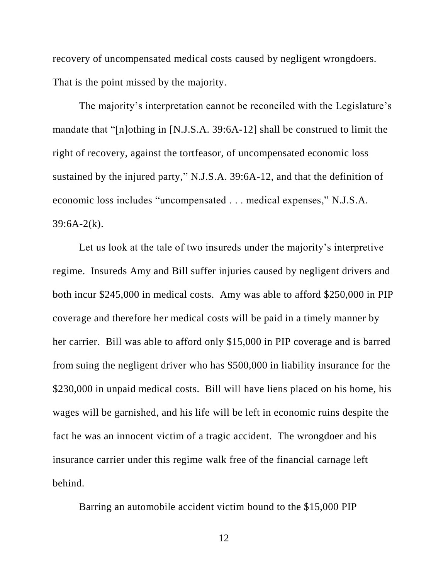recovery of uncompensated medical costs caused by negligent wrongdoers. That is the point missed by the majority.

The majority's interpretation cannot be reconciled with the Legislature's mandate that "[n]othing in [N.J.S.A. 39:6A-12] shall be construed to limit the right of recovery, against the tortfeasor, of uncompensated economic loss sustained by the injured party," N.J.S.A. 39:6A-12, and that the definition of economic loss includes "uncompensated . . . medical expenses," N.J.S.A.  $39:6A-2(k)$ .

Let us look at the tale of two insureds under the majority's interpretive regime. Insureds Amy and Bill suffer injuries caused by negligent drivers and both incur \$245,000 in medical costs. Amy was able to afford \$250,000 in PIP coverage and therefore her medical costs will be paid in a timely manner by her carrier. Bill was able to afford only \$15,000 in PIP coverage and is barred from suing the negligent driver who has \$500,000 in liability insurance for the \$230,000 in unpaid medical costs. Bill will have liens placed on his home, his wages will be garnished, and his life will be left in economic ruins despite the fact he was an innocent victim of a tragic accident. The wrongdoer and his insurance carrier under this regime walk free of the financial carnage left behind.

Barring an automobile accident victim bound to the \$15,000 PIP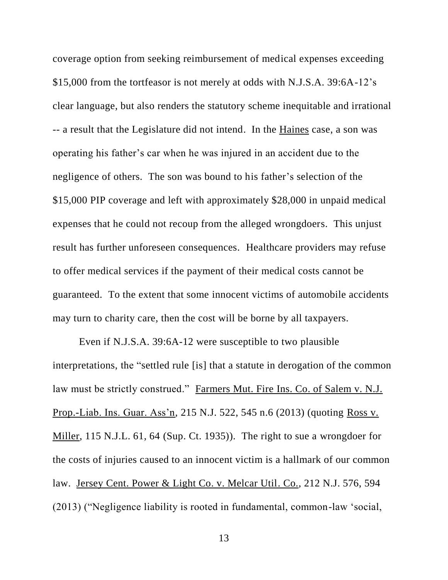coverage option from seeking reimbursement of medical expenses exceeding \$15,000 from the tortfeasor is not merely at odds with N.J.S.A. 39:6A-12's clear language, but also renders the statutory scheme inequitable and irrational -- a result that the Legislature did not intend. In the Haines case, a son was operating his father's car when he was injured in an accident due to the negligence of others. The son was bound to his father's selection of the \$15,000 PIP coverage and left with approximately \$28,000 in unpaid medical expenses that he could not recoup from the alleged wrongdoers. This unjust result has further unforeseen consequences. Healthcare providers may refuse to offer medical services if the payment of their medical costs cannot be guaranteed. To the extent that some innocent victims of automobile accidents may turn to charity care, then the cost will be borne by all taxpayers.

Even if N.J.S.A. 39:6A-12 were susceptible to two plausible interpretations, the "settled rule [is] that a statute in derogation of the common law must be strictly construed." Farmers Mut. Fire Ins. Co. of Salem v. N.J. Prop.-Liab. Ins. Guar. Ass'n, 215 N.J. 522, 545 n.6 (2013) (quoting Ross v. Miller, 115 N.J.L. 61, 64 (Sup. Ct. 1935)). The right to sue a wrongdoer for the costs of injuries caused to an innocent victim is a hallmark of our common law. Jersey Cent. Power & Light Co. v. Melcar Util. Co., 212 N.J. 576, 594 (2013) ("Negligence liability is rooted in fundamental, common-law 'social,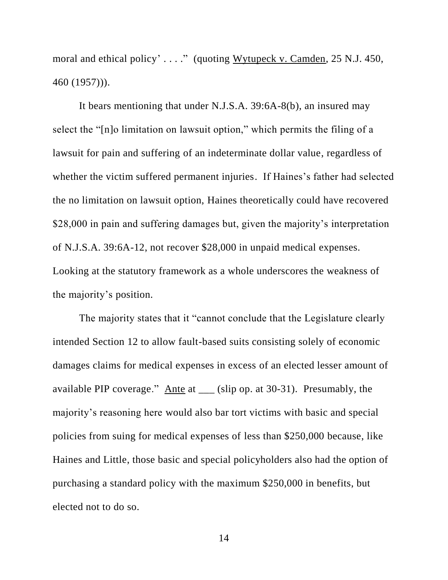moral and ethical policy' . . . ." (quoting Wytupeck v. Camden, 25 N.J. 450, 460 (1957))).

It bears mentioning that under N.J.S.A. 39:6A-8(b), an insured may select the "[n]o limitation on lawsuit option," which permits the filing of a lawsuit for pain and suffering of an indeterminate dollar value, regardless of whether the victim suffered permanent injuries. If Haines's father had selected the no limitation on lawsuit option, Haines theoretically could have recovered \$28,000 in pain and suffering damages but, given the majority's interpretation of N.J.S.A. 39:6A-12, not recover \$28,000 in unpaid medical expenses. Looking at the statutory framework as a whole underscores the weakness of the majority's position.

The majority states that it "cannot conclude that the Legislature clearly intended Section 12 to allow fault-based suits consisting solely of economic damages claims for medical expenses in excess of an elected lesser amount of available PIP coverage." Ante at \_\_\_ (slip op. at 30-31). Presumably, the majority's reasoning here would also bar tort victims with basic and special policies from suing for medical expenses of less than \$250,000 because, like Haines and Little, those basic and special policyholders also had the option of purchasing a standard policy with the maximum \$250,000 in benefits, but elected not to do so.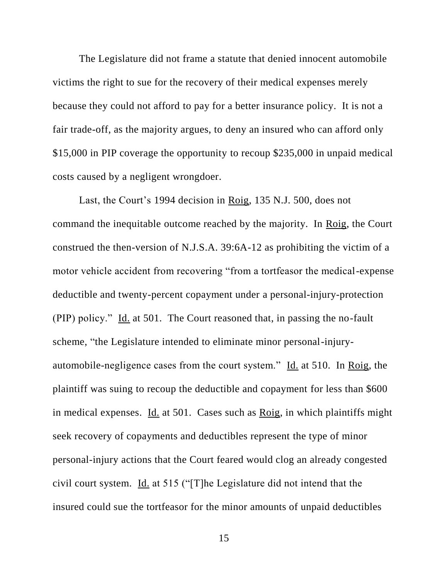The Legislature did not frame a statute that denied innocent automobile victims the right to sue for the recovery of their medical expenses merely because they could not afford to pay for a better insurance policy. It is not a fair trade-off, as the majority argues, to deny an insured who can afford only \$15,000 in PIP coverage the opportunity to recoup \$235,000 in unpaid medical costs caused by a negligent wrongdoer.

Last, the Court's 1994 decision in Roig, 135 N.J. 500, does not command the inequitable outcome reached by the majority. In Roig, the Court construed the then-version of N.J.S.A. 39:6A-12 as prohibiting the victim of a motor vehicle accident from recovering "from a tortfeasor the medical-expense deductible and twenty-percent copayment under a personal-injury-protection (PIP) policy." Id. at 501. The Court reasoned that, in passing the no-fault scheme, "the Legislature intended to eliminate minor personal-injuryautomobile-negligence cases from the court system." Id. at 510. In Roig, the plaintiff was suing to recoup the deductible and copayment for less than \$600 in medical expenses. Id. at 501. Cases such as Roig, in which plaintiffs might seek recovery of copayments and deductibles represent the type of minor personal-injury actions that the Court feared would clog an already congested civil court system. Id. at 515 ("[T]he Legislature did not intend that the insured could sue the tortfeasor for the minor amounts of unpaid deductibles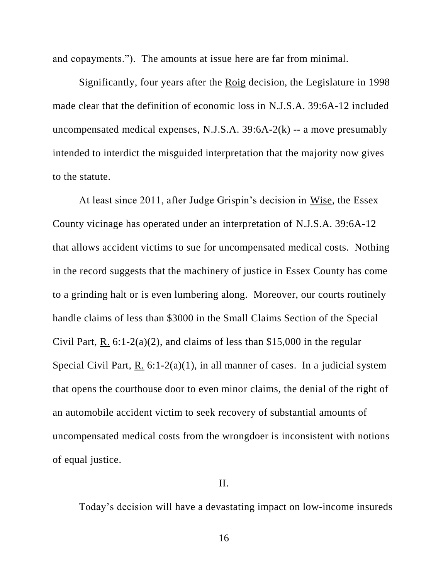and copayments."). The amounts at issue here are far from minimal.

Significantly, four years after the Roig decision, the Legislature in 1998 made clear that the definition of economic loss in N.J.S.A. 39:6A-12 included uncompensated medical expenses, N.J.S.A.  $39:6A-2(k)$  -- a move presumably intended to interdict the misguided interpretation that the majority now gives to the statute.

At least since 2011, after Judge Grispin's decision in Wise, the Essex County vicinage has operated under an interpretation of N.J.S.A. 39:6A-12 that allows accident victims to sue for uncompensated medical costs. Nothing in the record suggests that the machinery of justice in Essex County has come to a grinding halt or is even lumbering along. Moreover, our courts routinely handle claims of less than \$3000 in the Small Claims Section of the Special Civil Part, R.  $6:1-2(a)(2)$ , and claims of less than \$15,000 in the regular Special Civil Part, R.  $6:1-2(a)(1)$ , in all manner of cases. In a judicial system that opens the courthouse door to even minor claims, the denial of the right of an automobile accident victim to seek recovery of substantial amounts of uncompensated medical costs from the wrongdoer is inconsistent with notions of equal justice.

## II.

Today's decision will have a devastating impact on low-income insureds